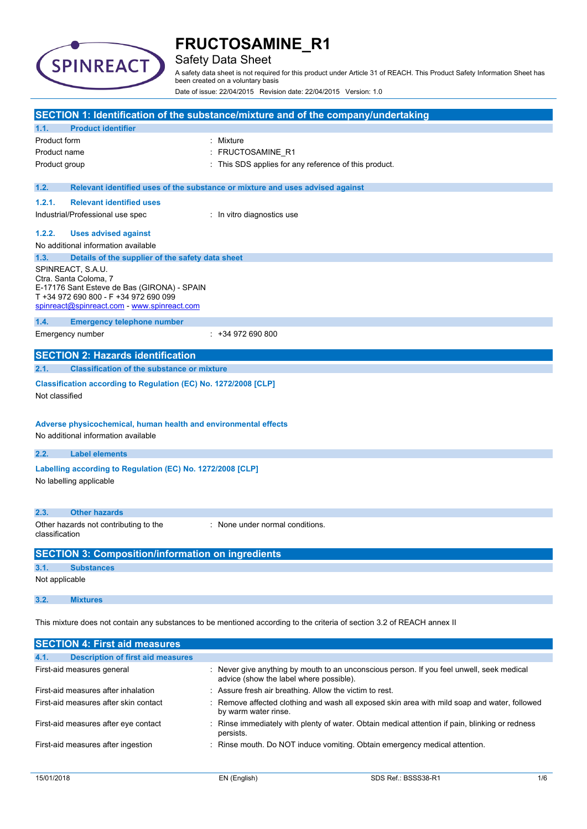

### Safety Data Sheet

A safety data sheet is not required for this product under Article 31 of REACH. This Product Safety Information Sheet has been created on a voluntary basis

Date of issue: 22/04/2015 Revision date: 22/04/2015 Version: 1.0

|                                                                                                                                                                                             |                                                                                                                                                                                   | SECTION 1: Identification of the substance/mixture and of the company/undertaking |  |
|---------------------------------------------------------------------------------------------------------------------------------------------------------------------------------------------|-----------------------------------------------------------------------------------------------------------------------------------------------------------------------------------|-----------------------------------------------------------------------------------|--|
| 1.1.                                                                                                                                                                                        | <b>Product identifier</b>                                                                                                                                                         |                                                                                   |  |
| Product form                                                                                                                                                                                |                                                                                                                                                                                   | : Mixture                                                                         |  |
| Product name                                                                                                                                                                                |                                                                                                                                                                                   | : FRUCTOSAMINE_R1                                                                 |  |
| Product group                                                                                                                                                                               |                                                                                                                                                                                   | This SDS applies for any reference of this product.                               |  |
| 1.2.                                                                                                                                                                                        |                                                                                                                                                                                   | Relevant identified uses of the substance or mixture and uses advised against     |  |
| 1.2.1.                                                                                                                                                                                      | <b>Relevant identified uses</b>                                                                                                                                                   |                                                                                   |  |
|                                                                                                                                                                                             | Industrial/Professional use spec                                                                                                                                                  | : In vitro diagnostics use                                                        |  |
| 1.2.2.                                                                                                                                                                                      | <b>Uses advised against</b>                                                                                                                                                       |                                                                                   |  |
|                                                                                                                                                                                             | No additional information available                                                                                                                                               |                                                                                   |  |
| 1.3.                                                                                                                                                                                        | Details of the supplier of the safety data sheet                                                                                                                                  |                                                                                   |  |
|                                                                                                                                                                                             | SPINREACT, S.A.U.<br>Ctra. Santa Coloma, 7<br>E-17176 Sant Esteve de Bas (GIRONA) - SPAIN<br>T +34 972 690 800 - F +34 972 690 099<br>spinreact@spinreact.com - www.spinreact.com |                                                                                   |  |
| 1.4.                                                                                                                                                                                        | <b>Emergency telephone number</b>                                                                                                                                                 |                                                                                   |  |
|                                                                                                                                                                                             | Emergency number                                                                                                                                                                  | $: +34972690800$                                                                  |  |
|                                                                                                                                                                                             | <b>SECTION 2: Hazards identification</b>                                                                                                                                          |                                                                                   |  |
| 2.1.                                                                                                                                                                                        | <b>Classification of the substance or mixture</b>                                                                                                                                 |                                                                                   |  |
|                                                                                                                                                                                             |                                                                                                                                                                                   |                                                                                   |  |
| Classification according to Regulation (EC) No. 1272/2008 [CLP]<br>Not classified<br>Adverse physicochemical, human health and environmental effects<br>No additional information available |                                                                                                                                                                                   |                                                                                   |  |
| 2.2.                                                                                                                                                                                        | <b>Label elements</b>                                                                                                                                                             |                                                                                   |  |
|                                                                                                                                                                                             |                                                                                                                                                                                   |                                                                                   |  |
| Labelling according to Regulation (EC) No. 1272/2008 [CLP]<br>No labelling applicable                                                                                                       |                                                                                                                                                                                   |                                                                                   |  |
| 2.3.                                                                                                                                                                                        | <b>Other hazards</b>                                                                                                                                                              |                                                                                   |  |
| classification                                                                                                                                                                              | Other hazards not contributing to the                                                                                                                                             | : None under normal conditions.                                                   |  |
|                                                                                                                                                                                             | <b>SECTION 3: Composition/information on ingredients</b>                                                                                                                          |                                                                                   |  |
| 3.1.                                                                                                                                                                                        | <b>Substances</b>                                                                                                                                                                 |                                                                                   |  |
| Not applicable                                                                                                                                                                              |                                                                                                                                                                                   |                                                                                   |  |
| 3.2.                                                                                                                                                                                        | <b>Mixtures</b>                                                                                                                                                                   |                                                                                   |  |
| This mixture does not contain any substances to be mentioned according to the criteria of section 3.2 of REACH annex II                                                                     |                                                                                                                                                                                   |                                                                                   |  |
|                                                                                                                                                                                             | <b>SECTION 4: First aid measures</b>                                                                                                                                              |                                                                                   |  |

| 4.1. | <b>Description of first aid measures</b> |                                                                                                                                      |
|------|------------------------------------------|--------------------------------------------------------------------------------------------------------------------------------------|
|      | First-aid measures general               | : Never give anything by mouth to an unconscious person. If you feel unwell, seek medical<br>advice (show the label where possible). |
|      | First-aid measures after inhalation      | : Assure fresh air breathing. Allow the victim to rest.                                                                              |
|      | First-aid measures after skin contact    | : Remove affected clothing and wash all exposed skin area with mild soap and water, followed<br>by warm water rinse.                 |
|      | First-aid measures after eye contact     | : Rinse immediately with plenty of water. Obtain medical attention if pain, blinking or redness<br>persists.                         |
|      | First-aid measures after ingestion       | : Rinse mouth. Do NOT induce vomiting. Obtain emergency medical attention.                                                           |
|      |                                          |                                                                                                                                      |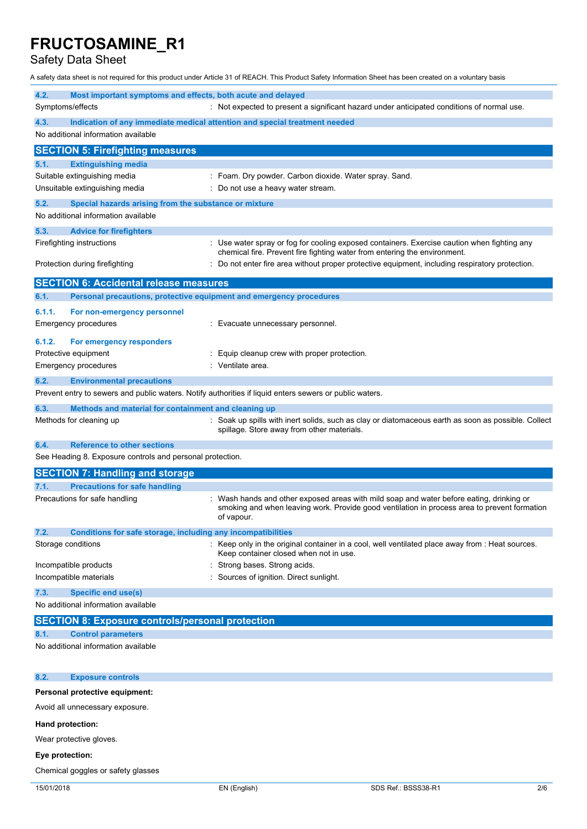Safety Data Sheet

A safety data sheet is not required for this product under Article 31 of REACH. This Product Safety Information Sheet has been created on a voluntary basis

| 4.2.<br>Most important symptoms and effects, both acute and delayed                                     |                                                                                                                                                                                                        |  |  |
|---------------------------------------------------------------------------------------------------------|--------------------------------------------------------------------------------------------------------------------------------------------------------------------------------------------------------|--|--|
| Symptoms/effects                                                                                        | : Not expected to present a significant hazard under anticipated conditions of normal use.                                                                                                             |  |  |
| 4.3.                                                                                                    | Indication of any immediate medical attention and special treatment needed                                                                                                                             |  |  |
| No additional information available                                                                     |                                                                                                                                                                                                        |  |  |
| <b>SECTION 5: Firefighting measures</b>                                                                 |                                                                                                                                                                                                        |  |  |
| 5.1.<br><b>Extinguishing media</b>                                                                      |                                                                                                                                                                                                        |  |  |
| Suitable extinguishing media                                                                            | : Foam. Dry powder. Carbon dioxide. Water spray. Sand.                                                                                                                                                 |  |  |
| Unsuitable extinguishing media                                                                          | : Do not use a heavy water stream.                                                                                                                                                                     |  |  |
| 5.2.<br>Special hazards arising from the substance or mixture                                           |                                                                                                                                                                                                        |  |  |
| No additional information available                                                                     |                                                                                                                                                                                                        |  |  |
| 5.3.<br><b>Advice for firefighters</b>                                                                  |                                                                                                                                                                                                        |  |  |
| Firefighting instructions                                                                               | Use water spray or fog for cooling exposed containers. Exercise caution when fighting any<br>chemical fire. Prevent fire fighting water from entering the environment.                                 |  |  |
| Protection during firefighting                                                                          | Do not enter fire area without proper protective equipment, including respiratory protection.                                                                                                          |  |  |
| <b>SECTION 6: Accidental release measures</b>                                                           |                                                                                                                                                                                                        |  |  |
| Personal precautions, protective equipment and emergency procedures<br>6.1.                             |                                                                                                                                                                                                        |  |  |
| 6.1.1.<br>For non-emergency personnel                                                                   |                                                                                                                                                                                                        |  |  |
| Emergency procedures                                                                                    | Evacuate unnecessary personnel.                                                                                                                                                                        |  |  |
| 6.1.2.<br>For emergency responders                                                                      |                                                                                                                                                                                                        |  |  |
| Protective equipment                                                                                    | Equip cleanup crew with proper protection.                                                                                                                                                             |  |  |
| Emergency procedures                                                                                    | Ventilate area.                                                                                                                                                                                        |  |  |
| 6.2.<br><b>Environmental precautions</b>                                                                |                                                                                                                                                                                                        |  |  |
| Prevent entry to sewers and public waters. Notify authorities if liquid enters sewers or public waters. |                                                                                                                                                                                                        |  |  |
| 6.3.<br>Methods and material for containment and cleaning up                                            |                                                                                                                                                                                                        |  |  |
| Methods for cleaning up                                                                                 | Soak up spills with inert solids, such as clay or diatomaceous earth as soon as possible. Collect<br>spillage. Store away from other materials.                                                        |  |  |
| <b>Reference to other sections</b><br>6.4.                                                              |                                                                                                                                                                                                        |  |  |
| See Heading 8. Exposure controls and personal protection.                                               |                                                                                                                                                                                                        |  |  |
| <b>SECTION 7: Handling and storage</b>                                                                  |                                                                                                                                                                                                        |  |  |
| <b>Precautions for safe handling</b><br>7.1.                                                            |                                                                                                                                                                                                        |  |  |
| Precautions for safe handling                                                                           | : Wash hands and other exposed areas with mild soap and water before eating, drinking or<br>smoking and when leaving work. Provide good ventilation in process area to prevent formation<br>of vapour. |  |  |
| 7.2.<br>Conditions for safe storage, including any incompatibilities                                    |                                                                                                                                                                                                        |  |  |
| Storage conditions                                                                                      | Keep only in the original container in a cool, well ventilated place away from : Heat sources.<br>Keep container closed when not in use.                                                               |  |  |
| Incompatible products                                                                                   | Strong bases. Strong acids.                                                                                                                                                                            |  |  |
| Incompatible materials                                                                                  | Sources of ignition. Direct sunlight.                                                                                                                                                                  |  |  |
| 7.3.<br>Specific end use(s)                                                                             |                                                                                                                                                                                                        |  |  |
| No additional information available                                                                     |                                                                                                                                                                                                        |  |  |
| <b>SECTION 8: Exposure controls/personal protection</b>                                                 |                                                                                                                                                                                                        |  |  |
| <b>Control parameters</b><br>8.1.                                                                       |                                                                                                                                                                                                        |  |  |
| No additional information available                                                                     |                                                                                                                                                                                                        |  |  |
| 8.2.<br><b>Exposure controls</b>                                                                        |                                                                                                                                                                                                        |  |  |
| Personal protective equipment:                                                                          |                                                                                                                                                                                                        |  |  |
| Avoid all unnecessary exposure.                                                                         |                                                                                                                                                                                                        |  |  |
| Hand protection:                                                                                        |                                                                                                                                                                                                        |  |  |
| Wear protective gloves.                                                                                 |                                                                                                                                                                                                        |  |  |

**Eye protection:**

Chemical goggles or safety glasses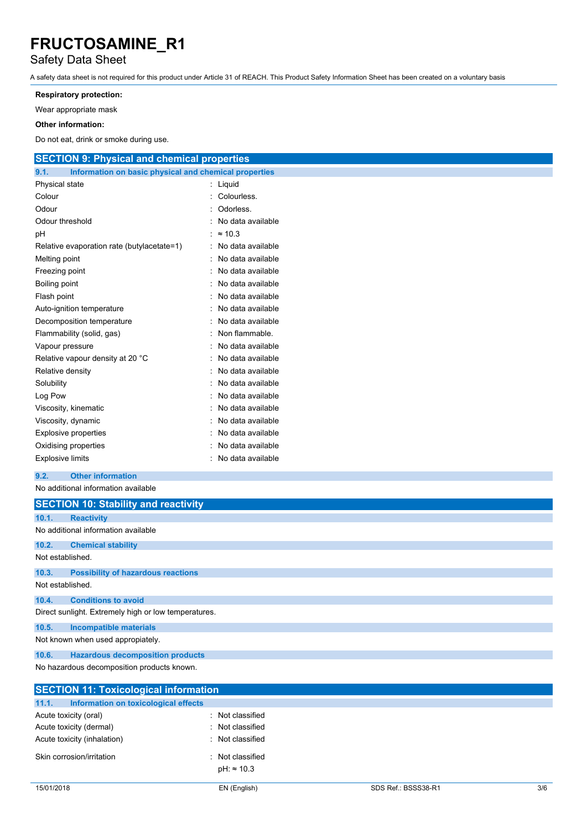### Safety Data Sheet

A safety data sheet is not required for this product under Article 31 of REACH. This Product Safety Information Sheet has been created on a voluntary basis

#### **Respiratory protection:**

Wear appropriate mask

#### **Other information:**

Do not eat, drink or smoke during use.

| <b>SECTION 9: Physical and chemical properties</b>            |                     |
|---------------------------------------------------------------|---------------------|
| 9.1.<br>Information on basic physical and chemical properties |                     |
| Physical state                                                | : Liquid            |
| Colour                                                        | : Colourless.       |
| Odour                                                         | Odorless.           |
| Odour threshold                                               | No data available   |
| рH                                                            | : $\approx 10.3$    |
| Relative evaporation rate (butylacetate=1)                    | : No data available |
| Melting point                                                 | No data available   |
| Freezing point                                                | No data available   |
| Boiling point                                                 | No data available   |
| Flash point                                                   | No data available   |
| Auto-ignition temperature                                     | No data available   |
| Decomposition temperature                                     | No data available   |
| Flammability (solid, gas)                                     | Non flammable.      |
| Vapour pressure                                               | No data available   |
| Relative vapour density at 20 °C                              | No data available   |
| Relative density                                              | No data available   |
| Solubility                                                    | : No data available |
| Log Pow                                                       | : No data available |
| Viscosity, kinematic                                          | No data available   |
| Viscosity, dynamic                                            | No data available   |
| <b>Explosive properties</b>                                   | No data available   |
| Oxidising properties                                          | No data available   |
| <b>Explosive limits</b>                                       | : No data available |
| 9.2.<br><b>Other information</b>                              |                     |
| No additional information available                           |                     |
| <b>SECTION 10: Stability and reactivity</b>                   |                     |
| 10.1.<br><b>Reactivity</b>                                    |                     |
| No additional information available                           |                     |
|                                                               |                     |
| 10.2.<br><b>Chemical stability</b>                            |                     |

Not established.

### **10.3. Possibility of hazardous reactions** Not established.

**10.4. Conditions to avoid**

Direct sunlight. Extremely high or low temperatures.

**10.5. Incompatible materials**

Not known when used appropiately.

**10.6. Hazardous decomposition products**

No hazardous decomposition products known.

|       | <b>SECTION 11: Toxicological information</b> |                    |
|-------|----------------------------------------------|--------------------|
| 11.1. | Information on toxicological effects         |                    |
|       | Acute toxicity (oral)                        | Not classified     |
|       | Acute toxicity (dermal)                      | Not classified     |
|       | Acute toxicity (inhalation)                  | Not classified     |
|       | Skin corrosion/irritation                    | Not classified     |
|       |                                              | $pH: \approx 10.3$ |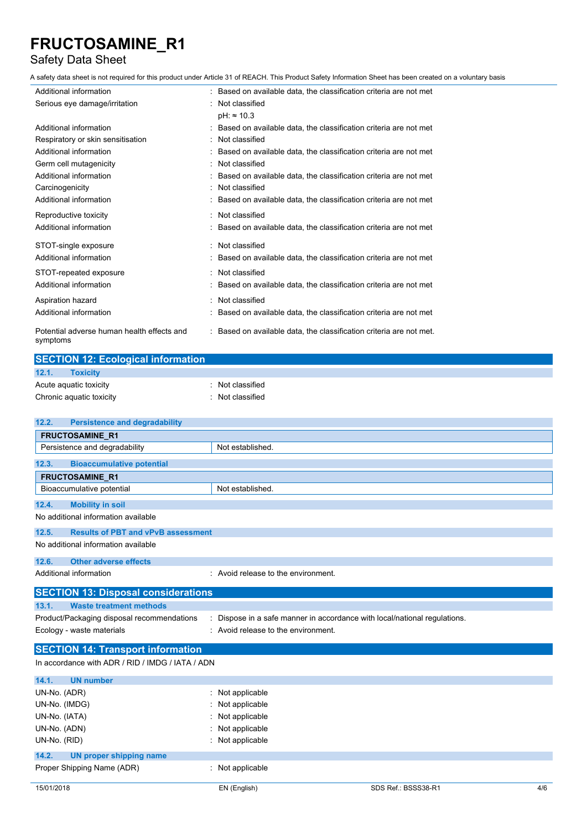### Safety Data Sheet

A safety data sheet is not required for this product under Article 31 of REACH. This Product Safety Information Sheet has been created on a voluntary basis

| Additional information                                 | : Based on available data, the classification criteria are not met  |
|--------------------------------------------------------|---------------------------------------------------------------------|
| Serious eye damage/irritation                          | : Not classified                                                    |
|                                                        | $pH: \approx 10.3$                                                  |
| Additional information                                 | Based on available data, the classification criteria are not met    |
| Respiratory or skin sensitisation                      | : Not classified                                                    |
| Additional information                                 | Based on available data, the classification criteria are not met    |
| Germ cell mutagenicity                                 | : Not classified                                                    |
| Additional information                                 | Based on available data, the classification criteria are not met    |
| Carcinogenicity                                        | Not classified                                                      |
| Additional information                                 | Based on available data, the classification criteria are not met    |
| Reproductive toxicity                                  | : Not classified                                                    |
| Additional information                                 | : Based on available data, the classification criteria are not met  |
| STOT-single exposure                                   | : Not classified                                                    |
| Additional information                                 | Based on available data, the classification criteria are not met    |
| STOT-repeated exposure                                 | : Not classified                                                    |
| Additional information                                 | Based on available data, the classification criteria are not met    |
| Aspiration hazard                                      | Not classified                                                      |
| Additional information                                 | Based on available data, the classification criteria are not met    |
| Potential adverse human health effects and<br>symptoms | : Based on available data, the classification criteria are not met. |

| <b>SECTION 12: Ecological information</b> |                  |
|-------------------------------------------|------------------|
| 12.1.<br><b>Toxicity</b>                  |                  |
| Acute aquatic toxicity                    | : Not classified |
| Chronic aquatic toxicity                  | Not classified   |

| 12.2.<br><b>Persistence and degradability</b>      |                                                                         |  |  |
|----------------------------------------------------|-------------------------------------------------------------------------|--|--|
| <b>FRUCTOSAMINE R1</b>                             |                                                                         |  |  |
| Persistence and degradability                      | Not established.                                                        |  |  |
| 12.3.<br><b>Bioaccumulative potential</b>          |                                                                         |  |  |
| <b>FRUCTOSAMINE R1</b>                             |                                                                         |  |  |
| Bioaccumulative potential                          | Not established.                                                        |  |  |
| 12.4.<br><b>Mobility in soil</b>                   |                                                                         |  |  |
| No additional information available                |                                                                         |  |  |
| <b>Results of PBT and vPvB assessment</b><br>12.5. |                                                                         |  |  |
| No additional information available                |                                                                         |  |  |
| <b>Other adverse effects</b><br>12.6.              |                                                                         |  |  |
| Additional information                             | : Avoid release to the environment.                                     |  |  |
| <b>SECTION 13: Disposal considerations</b>         |                                                                         |  |  |
| <b>Waste treatment methods</b><br>13.1.            |                                                                         |  |  |
| Product/Packaging disposal recommendations         | Dispose in a safe manner in accordance with local/national regulations. |  |  |
| Ecology - waste materials                          | : Avoid release to the environment.                                     |  |  |
| <b>SECTION 14: Transport information</b>           |                                                                         |  |  |
| In accordance with ADR / RID / IMDG / IATA / ADN   |                                                                         |  |  |
| 14.1.<br><b>UN number</b>                          |                                                                         |  |  |
| UN-No. (ADR)                                       | : Not applicable                                                        |  |  |
| UN-No. (IMDG)                                      | Not applicable                                                          |  |  |
| UN-No. (IATA)                                      | Not applicable                                                          |  |  |
| UN-No. (ADN)                                       | Not applicable                                                          |  |  |
| UN-No. (RID)                                       | Not applicable                                                          |  |  |
| 14.2.<br>UN proper shipping name                   |                                                                         |  |  |
| Proper Shipping Name (ADR)                         | Not applicable                                                          |  |  |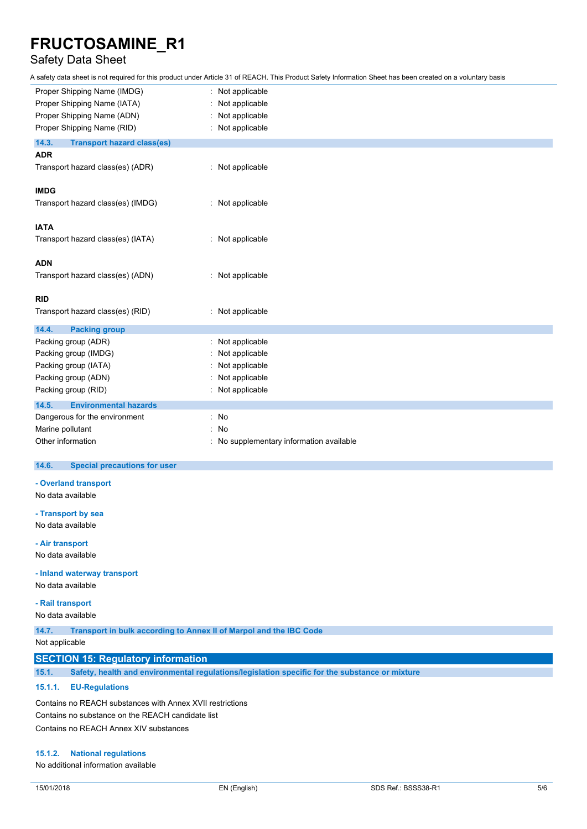## Safety Data Sheet

A safety data sheet is not required for this product under Article 31 of REACH. This Product Safety Information Sheet has been created on a voluntary basis

| Not applicable                         |
|----------------------------------------|
| Not applicable                         |
| Not applicable                         |
| Not applicable                         |
|                                        |
|                                        |
| : Not applicable                       |
|                                        |
|                                        |
| : Not applicable                       |
|                                        |
|                                        |
| : Not applicable                       |
|                                        |
|                                        |
| : Not applicable                       |
|                                        |
|                                        |
| : Not applicable                       |
|                                        |
| Not applicable                         |
| Not applicable                         |
| Not applicable                         |
| Not applicable                         |
| Not applicable                         |
|                                        |
| : No                                   |
| No                                     |
| No supplementary information available |
|                                        |

#### $14.6.$ **14.6. Special precautions for user**

**- Overland transport**

No data available

**- Transport by sea**

No data available

**- Air transport**

No data available

**- Inland waterway transport**

No data available

**- Rail transport**

No data available

**14.7. Transport in bulk according to Annex II of Marpol and the IBC Code**

Not applicable

### **SECTION 15: Regulatory information**

**15.1. Safety, health and environmental regulations/legislation specific for the substance or mixture**

### **15.1.1. EU-Regulations**

Contains no REACH substances with Annex XVII restrictions Contains no substance on the REACH candidate list Contains no REACH Annex XIV substances

### **15.1.2. National regulations**

No additional information available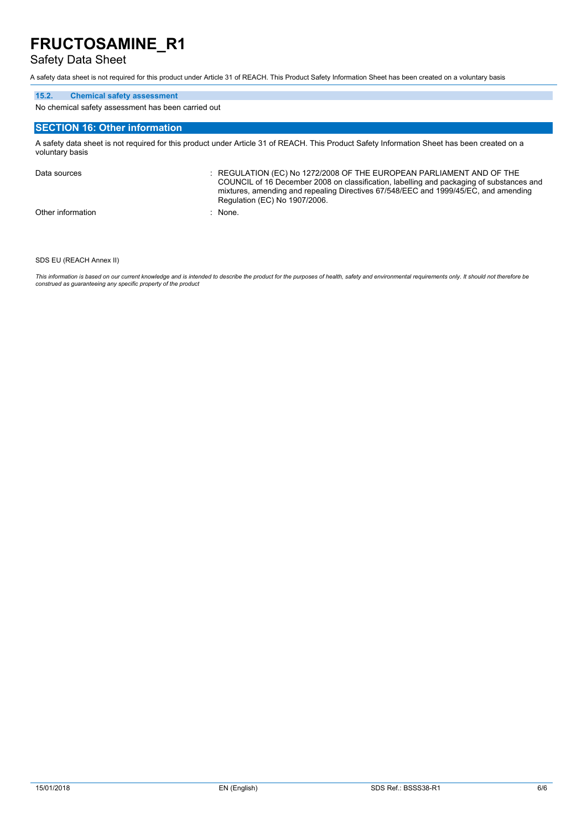### Safety Data Sheet

A safety data sheet is not required for this product under Article 31 of REACH. This Product Safety Information Sheet has been created on a voluntary basis

#### **15.2. Chemical safety assessment**

No chemical safety assessment has been carried out

#### **SECTION 16: Other information**

A safety data sheet is not required for this product under Article 31 of REACH. This Product Safety Information Sheet has been created on a voluntary basis

Data sources : REGULATION (EC) No 1272/2008 OF THE EUROPEAN PARLIAMENT AND OF THE COUNCIL of 16 December 2008 on classification, labelling and packaging of substances and mixtures, amending and repealing Directives 67/548/EEC and 1999/45/EC, and amending Regulation (EC) No 1907/2006. Other information : None.

SDS EU (REACH Annex II)

This information is based on our current knowledge and is intended to describe the product for the purposes of health, safety and environmental requirements only. It should not therefore be *construed as guaranteeing any specific property of the product*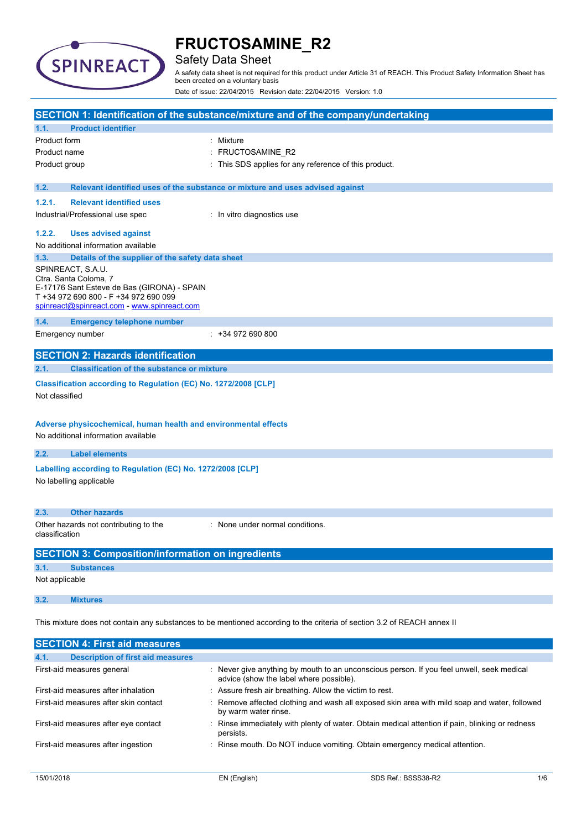

### Safety Data Sheet

A safety data sheet is not required for this product under Article 31 of REACH. This Product Safety Information Sheet has been created on a voluntary basis

Date of issue: 22/04/2015 Revision date: 22/04/2015 Version: 1.0

|                                                                                                                         |                                                                                                                                                                                   | SECTION 1: Identification of the substance/mixture and of the company/undertaking |  |
|-------------------------------------------------------------------------------------------------------------------------|-----------------------------------------------------------------------------------------------------------------------------------------------------------------------------------|-----------------------------------------------------------------------------------|--|
| 1.1.                                                                                                                    | <b>Product identifier</b>                                                                                                                                                         |                                                                                   |  |
| Product form                                                                                                            |                                                                                                                                                                                   | Mixture                                                                           |  |
| Product name                                                                                                            |                                                                                                                                                                                   | FRUCTOSAMINE_R2                                                                   |  |
| Product group                                                                                                           |                                                                                                                                                                                   | This SDS applies for any reference of this product.                               |  |
| 1.2.                                                                                                                    |                                                                                                                                                                                   | Relevant identified uses of the substance or mixture and uses advised against     |  |
| 1.2.1.                                                                                                                  | <b>Relevant identified uses</b>                                                                                                                                                   |                                                                                   |  |
|                                                                                                                         | Industrial/Professional use spec                                                                                                                                                  | : In vitro diagnostics use                                                        |  |
| 1.2.2.                                                                                                                  | <b>Uses advised against</b>                                                                                                                                                       |                                                                                   |  |
|                                                                                                                         | No additional information available                                                                                                                                               |                                                                                   |  |
| 1.3.                                                                                                                    | Details of the supplier of the safety data sheet                                                                                                                                  |                                                                                   |  |
|                                                                                                                         | SPINREACT, S.A.U.<br>Ctra. Santa Coloma, 7<br>E-17176 Sant Esteve de Bas (GIRONA) - SPAIN<br>T +34 972 690 800 - F +34 972 690 099<br>spinreact@spinreact.com - www.spinreact.com |                                                                                   |  |
| 1.4.                                                                                                                    | <b>Emergency telephone number</b>                                                                                                                                                 |                                                                                   |  |
|                                                                                                                         | Emergency number                                                                                                                                                                  | $: +34972690800$                                                                  |  |
|                                                                                                                         | <b>SECTION 2: Hazards identification</b>                                                                                                                                          |                                                                                   |  |
| 2.1.                                                                                                                    | <b>Classification of the substance or mixture</b>                                                                                                                                 |                                                                                   |  |
| Not classified                                                                                                          | Classification according to Regulation (EC) No. 1272/2008 [CLP]                                                                                                                   |                                                                                   |  |
| Adverse physicochemical, human health and environmental effects<br>No additional information available                  |                                                                                                                                                                                   |                                                                                   |  |
| 2.2.                                                                                                                    | <b>Label elements</b>                                                                                                                                                             |                                                                                   |  |
| Labelling according to Regulation (EC) No. 1272/2008 [CLP]<br>No labelling applicable                                   |                                                                                                                                                                                   |                                                                                   |  |
| 2.3.                                                                                                                    | <b>Other hazards</b>                                                                                                                                                              |                                                                                   |  |
| Other hazards not contributing to the<br>None under normal conditions.<br>classification                                |                                                                                                                                                                                   |                                                                                   |  |
|                                                                                                                         | <b>SECTION 3: Composition/information on ingredients</b>                                                                                                                          |                                                                                   |  |
| 3.1.                                                                                                                    | <b>Substances</b>                                                                                                                                                                 |                                                                                   |  |
| Not applicable                                                                                                          |                                                                                                                                                                                   |                                                                                   |  |
| 3.2.                                                                                                                    | <b>Mixtures</b>                                                                                                                                                                   |                                                                                   |  |
| This mixture does not contain any substances to be mentioned according to the criteria of section 3.2 of REACH annex II |                                                                                                                                                                                   |                                                                                   |  |
|                                                                                                                         | <b>SECTION 4: First aid measures</b>                                                                                                                                              |                                                                                   |  |
| 4.1.                                                                                                                    | <b>Description of first aid measures</b>                                                                                                                                          |                                                                                   |  |

| First-aid measures general            | : Never give anything by mouth to an unconscious person. If you feel unwell, seek medical<br>advice (show the label where possible). |
|---------------------------------------|--------------------------------------------------------------------------------------------------------------------------------------|
| First-aid measures after inhalation   | : Assure fresh air breathing. Allow the victim to rest.                                                                              |
| First-aid measures after skin contact | : Remove affected clothing and wash all exposed skin area with mild soap and water, followed<br>by warm water rinse.                 |
| First-aid measures after eye contact  | : Rinse immediately with plenty of water. Obtain medical attention if pain, blinking or redness<br>persists.                         |
| First-aid measures after ingestion    | : Rinse mouth. Do NOT induce vomiting. Obtain emergency medical attention.                                                           |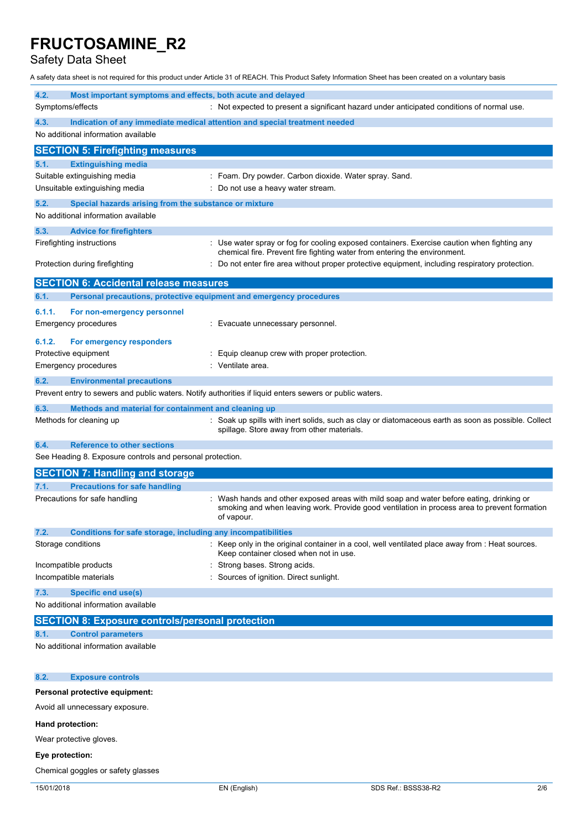Safety Data Sheet

A safety data sheet is not required for this product under Article 31 of REACH. This Product Safety Information Sheet has been created on a voluntary basis

| 4.2.<br>Most important symptoms and effects, both acute and delayed<br>Symptoms/effects                 | : Not expected to present a significant hazard under anticipated conditions of normal use.                                                                                                           |  |  |
|---------------------------------------------------------------------------------------------------------|------------------------------------------------------------------------------------------------------------------------------------------------------------------------------------------------------|--|--|
| 4.3.                                                                                                    | Indication of any immediate medical attention and special treatment needed                                                                                                                           |  |  |
| No additional information available                                                                     |                                                                                                                                                                                                      |  |  |
| <b>SECTION 5: Firefighting measures</b>                                                                 |                                                                                                                                                                                                      |  |  |
| 5.1.<br><b>Extinguishing media</b>                                                                      |                                                                                                                                                                                                      |  |  |
| Suitable extinguishing media<br>Unsuitable extinguishing media                                          | : Foam. Dry powder. Carbon dioxide. Water spray. Sand.<br>Do not use a heavy water stream.                                                                                                           |  |  |
| 5.2.<br>Special hazards arising from the substance or mixture                                           |                                                                                                                                                                                                      |  |  |
| No additional information available                                                                     |                                                                                                                                                                                                      |  |  |
| 5.3.<br><b>Advice for firefighters</b>                                                                  |                                                                                                                                                                                                      |  |  |
| Firefighting instructions                                                                               | : Use water spray or fog for cooling exposed containers. Exercise caution when fighting any<br>chemical fire. Prevent fire fighting water from entering the environment.                             |  |  |
| Protection during firefighting                                                                          | Do not enter fire area without proper protective equipment, including respiratory protection.                                                                                                        |  |  |
| <b>SECTION 6: Accidental release measures</b>                                                           |                                                                                                                                                                                                      |  |  |
| Personal precautions, protective equipment and emergency procedures<br>6.1.                             |                                                                                                                                                                                                      |  |  |
| 6.1.1.<br>For non-emergency personnel                                                                   |                                                                                                                                                                                                      |  |  |
| <b>Emergency procedures</b>                                                                             | Evacuate unnecessary personnel.                                                                                                                                                                      |  |  |
| 6.1.2.<br>For emergency responders                                                                      |                                                                                                                                                                                                      |  |  |
| Protective equipment                                                                                    | Equip cleanup crew with proper protection.<br>Ventilate area.                                                                                                                                        |  |  |
| <b>Emergency procedures</b>                                                                             |                                                                                                                                                                                                      |  |  |
| <b>Environmental precautions</b><br>6.2.                                                                |                                                                                                                                                                                                      |  |  |
| Prevent entry to sewers and public waters. Notify authorities if liquid enters sewers or public waters. |                                                                                                                                                                                                      |  |  |
| 6.3.<br>Methods and material for containment and cleaning up                                            |                                                                                                                                                                                                      |  |  |
| Methods for cleaning up                                                                                 | Soak up spills with inert solids, such as clay or diatomaceous earth as soon as possible. Collect<br>spillage. Store away from other materials.                                                      |  |  |
| <b>Reference to other sections</b><br>6.4.                                                              |                                                                                                                                                                                                      |  |  |
| See Heading 8. Exposure controls and personal protection.                                               |                                                                                                                                                                                                      |  |  |
| <b>SECTION 7: Handling and storage</b>                                                                  |                                                                                                                                                                                                      |  |  |
| <b>Precautions for safe handling</b><br>7.1.                                                            |                                                                                                                                                                                                      |  |  |
| Precautions for safe handling                                                                           | Wash hands and other exposed areas with mild soap and water before eating, drinking or<br>smoking and when leaving work. Provide good ventilation in process area to prevent formation<br>of vapour. |  |  |
| 7.2.<br>Conditions for safe storage, including any incompatibilities                                    |                                                                                                                                                                                                      |  |  |
| Storage conditions                                                                                      | Keep only in the original container in a cool, well ventilated place away from : Heat sources.<br>Keep container closed when not in use.                                                             |  |  |
| Incompatible products                                                                                   | Strong bases. Strong acids.                                                                                                                                                                          |  |  |
| Incompatible materials                                                                                  | Sources of ignition. Direct sunlight.                                                                                                                                                                |  |  |
| <b>Specific end use(s)</b><br>7.3.                                                                      |                                                                                                                                                                                                      |  |  |
| No additional information available                                                                     |                                                                                                                                                                                                      |  |  |
| <b>SECTION 8: Exposure controls/personal protection</b>                                                 |                                                                                                                                                                                                      |  |  |
| <b>Control parameters</b><br>8.1.                                                                       |                                                                                                                                                                                                      |  |  |
| No additional information available                                                                     |                                                                                                                                                                                                      |  |  |
| 8.2.<br><b>Exposure controls</b>                                                                        |                                                                                                                                                                                                      |  |  |
| Personal protective equipment:                                                                          |                                                                                                                                                                                                      |  |  |
| Avoid all unnecessary exposure.                                                                         |                                                                                                                                                                                                      |  |  |
| Hand protection:                                                                                        |                                                                                                                                                                                                      |  |  |

Wear protective gloves.

### **Eye protection:**

Chemical goggles or safety glasses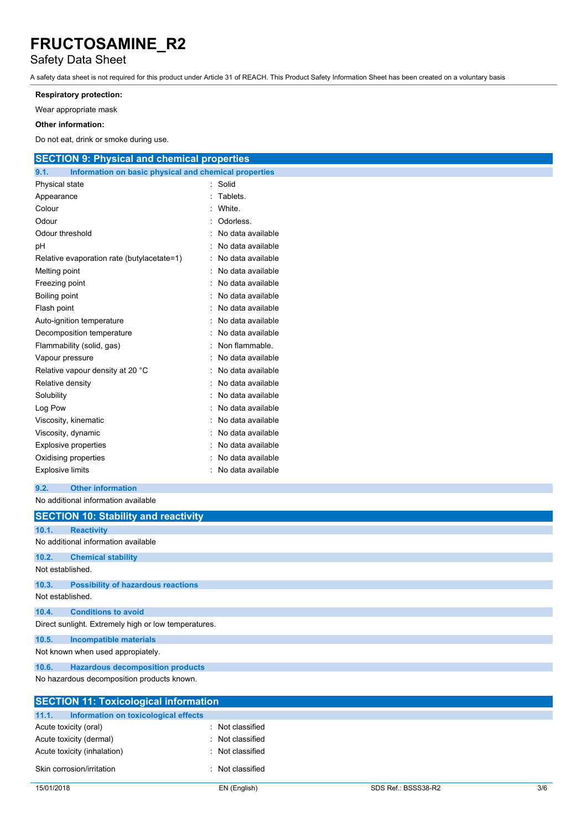### Safety Data Sheet

A safety data sheet is not required for this product under Article 31 of REACH. This Product Safety Information Sheet has been created on a voluntary basis

#### **Respiratory protection:**

Wear appropriate mask

#### **Other information:**

Do not eat, drink or smoke during use.

| <b>SECTION 9: Physical and chemical properties</b>            |                   |
|---------------------------------------------------------------|-------------------|
| 9.1.<br>Information on basic physical and chemical properties |                   |
| Physical state                                                | Solid             |
| Appearance                                                    | Tablets.          |
| Colour                                                        | White.            |
| Odour                                                         | Odorless.         |
| Odour threshold                                               | No data available |
| pH                                                            | No data available |
| Relative evaporation rate (butylacetate=1)                    | No data available |
| Melting point                                                 | No data available |
| Freezing point                                                | No data available |
| Boiling point                                                 | No data available |
| Flash point                                                   | No data available |
| Auto-ignition temperature                                     | No data available |
| Decomposition temperature                                     | No data available |
| Flammability (solid, gas)                                     | Non flammable.    |
| Vapour pressure                                               | No data available |
| Relative vapour density at 20 °C                              | No data available |
| Relative density                                              | No data available |
| Solubility                                                    | No data available |
| Log Pow                                                       | No data available |
| Viscosity, kinematic                                          | No data available |
| Viscosity, dynamic                                            | No data available |
| <b>Explosive properties</b>                                   | No data available |
| Oxidising properties                                          | No data available |
| <b>Explosive limits</b>                                       | No data available |
| 9.2.<br><b>Other information</b>                              |                   |
| No additional information available                           |                   |
| <b>SECTION 10: Stability and reactivity</b>                   |                   |
| <b>Reactivity</b><br>10.1.                                    |                   |
| No additional information available                           |                   |
| 10.2.<br><b>Chemical stability</b>                            |                   |
| Not established.                                              |                   |
| 10.3.<br><b>Possibility of hazardous reactions</b>            |                   |
| Not established.                                              |                   |
| 10.4.<br><b>Conditions to avoid</b>                           |                   |
| Direct sunlight. Extremely high or low temperatures.          |                   |
| <b>Incompatible materials</b><br>10.5.                        |                   |
| Not known when used appropiately.                             |                   |
| <b>Hazardous decomposition products</b><br>10.6.              |                   |

No hazardous decomposition products known.

| <b>SECTION 11: Toxicological information</b>  |                  |  |
|-----------------------------------------------|------------------|--|
| 11.1.<br>Information on toxicological effects |                  |  |
| Acute toxicity (oral)                         | : Not classified |  |
| Acute toxicity (dermal)                       | : Not classified |  |
| Acute toxicity (inhalation)                   | : Not classified |  |
| Skin corrosion/irritation                     | : Not classified |  |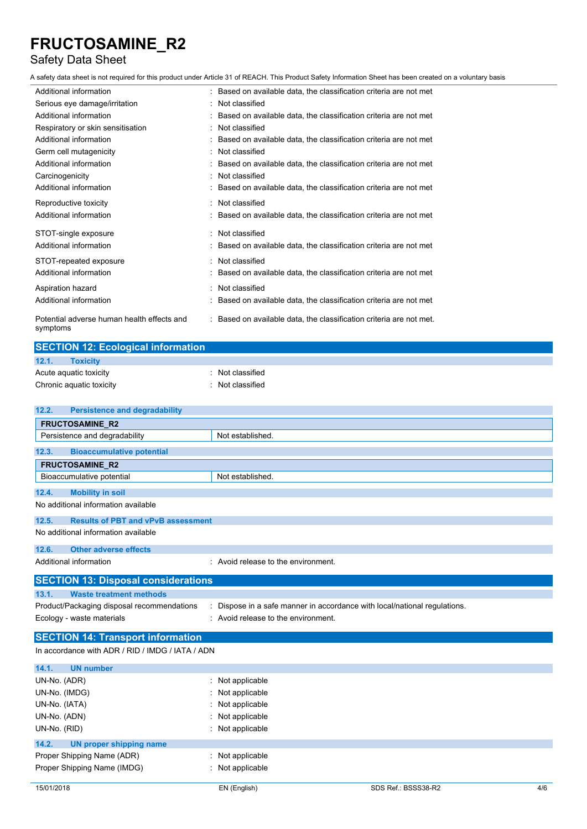### Safety Data Sheet

A safety data sheet is not required for this product under Article 31 of REACH. This Product Safety Information Sheet has been created on a voluntary basis

| Additional information                                 | : Based on available data, the classification criteria are not met  |
|--------------------------------------------------------|---------------------------------------------------------------------|
| Serious eye damage/irritation                          | : Not classified                                                    |
| Additional information                                 | Based on available data, the classification criteria are not met    |
| Respiratory or skin sensitisation                      | : Not classified                                                    |
| Additional information                                 | Based on available data, the classification criteria are not met    |
| Germ cell mutagenicity                                 | Not classified                                                      |
| Additional information                                 | Based on available data, the classification criteria are not met    |
| Carcinogenicity                                        | : Not classified                                                    |
| Additional information                                 | : Based on available data, the classification criteria are not met  |
| Reproductive toxicity                                  | Not classified                                                      |
| Additional information                                 | : Based on available data, the classification criteria are not met  |
| STOT-single exposure                                   | : Not classified                                                    |
| Additional information                                 | Based on available data, the classification criteria are not met    |
| STOT-repeated exposure                                 | : Not classified                                                    |
| Additional information                                 | : Based on available data, the classification criteria are not met  |
| Aspiration hazard                                      | : Not classified                                                    |
| Additional information                                 | Based on available data, the classification criteria are not met    |
| Potential adverse human health effects and<br>symptoms | : Based on available data, the classification criteria are not met. |

| <b>SECTION 12: Ecological information</b> |                             |  |
|-------------------------------------------|-----------------------------|--|
| 12.1.<br>Toxicity                         |                             |  |
| Acute aquatic toxicity                    | $\therefore$ Not classified |  |
| Chronic aquatic toxicity                  | : Not classified            |  |
|                                           |                             |  |

| 12.2.         | <b>Persistence and degradability</b>             |                                                                         |
|---------------|--------------------------------------------------|-------------------------------------------------------------------------|
|               | <b>FRUCTOSAMINE R2</b>                           |                                                                         |
|               | Persistence and degradability                    | Not established.                                                        |
| 12.3.         | <b>Bioaccumulative potential</b>                 |                                                                         |
|               |                                                  |                                                                         |
|               | <b>FRUCTOSAMINE R2</b>                           |                                                                         |
|               | Bioaccumulative potential                        | Not established.                                                        |
| 12.4.         | <b>Mobility in soil</b>                          |                                                                         |
|               | No additional information available              |                                                                         |
| 12.5.         | <b>Results of PBT and vPvB assessment</b>        |                                                                         |
|               | No additional information available              |                                                                         |
| 12.6.         | <b>Other adverse effects</b>                     |                                                                         |
|               | Additional information                           | : Avoid release to the environment.                                     |
|               | <b>SECTION 13: Disposal considerations</b>       |                                                                         |
| 13.1.         | <b>Waste treatment methods</b>                   |                                                                         |
|               | Product/Packaging disposal recommendations       | Dispose in a safe manner in accordance with local/national regulations. |
|               | Ecology - waste materials                        | : Avoid release to the environment.                                     |
|               | <b>SECTION 14: Transport information</b>         |                                                                         |
|               | In accordance with ADR / RID / IMDG / IATA / ADN |                                                                         |
| 14.1.         | <b>UN number</b>                                 |                                                                         |
| UN-No. (ADR)  |                                                  | Not applicable                                                          |
| UN-No. (IMDG) |                                                  | Not applicable                                                          |

| UN-NO. (INIDG)                   | : Not applicable            |  |
|----------------------------------|-----------------------------|--|
| UN-No. (IATA)                    | $:$ Not applicable          |  |
| UN-No. (ADN)                     | $:$ Not applicable          |  |
| UN-No. (RID)                     | $:$ Not applicable          |  |
| 14.2.<br>UN proper shipping name |                             |  |
| Proper Shipping Name (ADR)       | $\therefore$ Not applicable |  |
| Proper Shipping Name (IMDG)      | $:$ Not applicable          |  |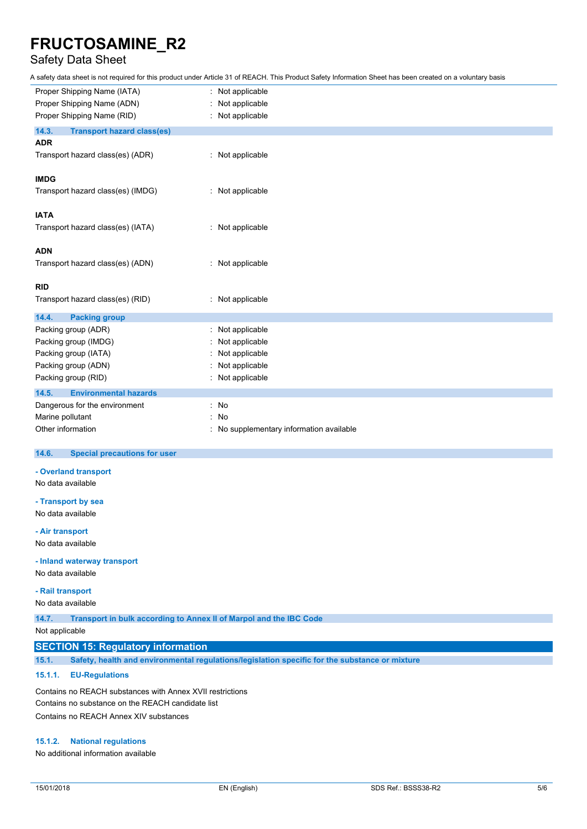### Safety Data Sheet

A safety data sheet is not required for this product under Article 31 of REACH. This Product Safety Information Sheet has been created on a voluntary basis

| Proper Shipping Name (IATA)                | Not applicable                         |
|--------------------------------------------|----------------------------------------|
| Proper Shipping Name (ADN)                 | Not applicable                         |
| Proper Shipping Name (RID)                 | : Not applicable                       |
| 14.3.<br><b>Transport hazard class(es)</b> |                                        |
| <b>ADR</b>                                 |                                        |
| Transport hazard class(es) (ADR)           | : Not applicable                       |
| <b>IMDG</b>                                |                                        |
| Transport hazard class(es) (IMDG)          | : Not applicable                       |
| <b>IATA</b>                                |                                        |
| Transport hazard class(es) (IATA)          | : Not applicable                       |
| <b>ADN</b>                                 |                                        |
| Transport hazard class(es) (ADN)           | : Not applicable                       |
| <b>RID</b>                                 |                                        |
| Transport hazard class(es) (RID)           | : Not applicable                       |
| 14.4.<br><b>Packing group</b>              |                                        |
| Packing group (ADR)                        | Not applicable                         |
| Packing group (IMDG)                       | Not applicable                         |
| Packing group (IATA)                       | Not applicable                         |
| Packing group (ADN)                        | Not applicable                         |
| Packing group (RID)                        | : Not applicable                       |
| 14.5.<br><b>Environmental hazards</b>      |                                        |
| Dangerous for the environment              | No<br>÷.                               |
| Marine pollutant                           | No<br>$\cdot$                          |
| Other information                          | No supplementary information available |

#### 14.6. **14.6. Special precautions for user**

#### **- Overland transport**

No data available

**- Transport by sea** No data available

#### **- Air transport**

No data available

#### **- Inland waterway transport**

No data available

### **- Rail transport**

No data available

**14.7. Transport in bulk according to Annex II of Marpol and the IBC Code**

Not applicable

### **SECTION 15: Regulatory information**

**15.1. Safety, health and environmental regulations/legislation specific for the substance or mixture**

#### **15.1.1. EU-Regulations**

Contains no REACH substances with Annex XVII restrictions Contains no substance on the REACH candidate list Contains no REACH Annex XIV substances

#### **15.1.2. National regulations**

No additional information available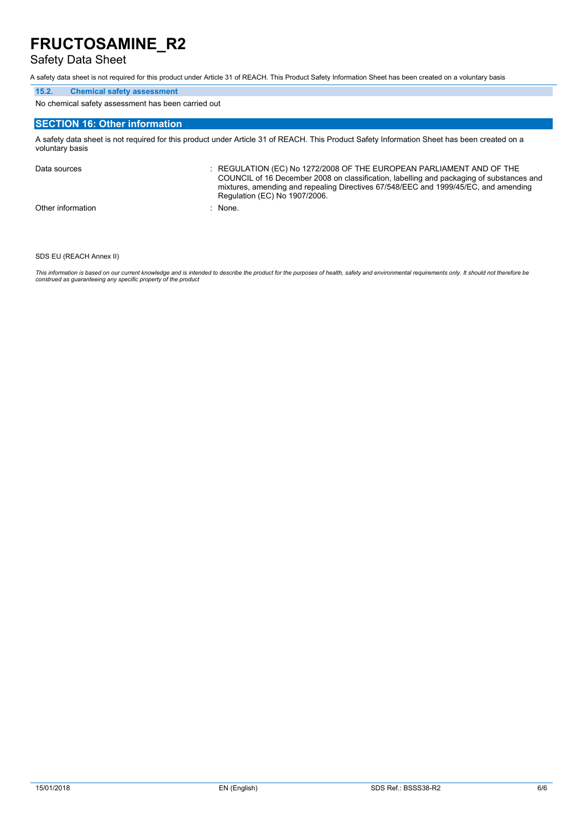### Safety Data Sheet

A safety data sheet is not required for this product under Article 31 of REACH. This Product Safety Information Sheet has been created on a voluntary basis

#### **15.2. Chemical safety assessment**

No chemical safety assessment has been carried out

### **SECTION 16: Other information**

A safety data sheet is not required for this product under Article 31 of REACH. This Product Safety Information Sheet has been created on a voluntary basis

Data sources **Superint Studies : REGULATION (EC) No 1272/2008 OF THE EUROPEAN PARLIAMENT AND OF THE** COUNCIL of 16 December 2008 on classification, labelling and packaging of substances and mixtures, amending and repealing Directives 67/548/EEC and 1999/45/EC, and amending Regulation (EC) No 1907/2006. Other information : None.

#### SDS EU (REACH Annex II)

This information is based on our current knowledge and is intended to describe the product for the purposes of health, safety and environmental requirements only. It should not therefore be<br>construed as guaranteeing any sp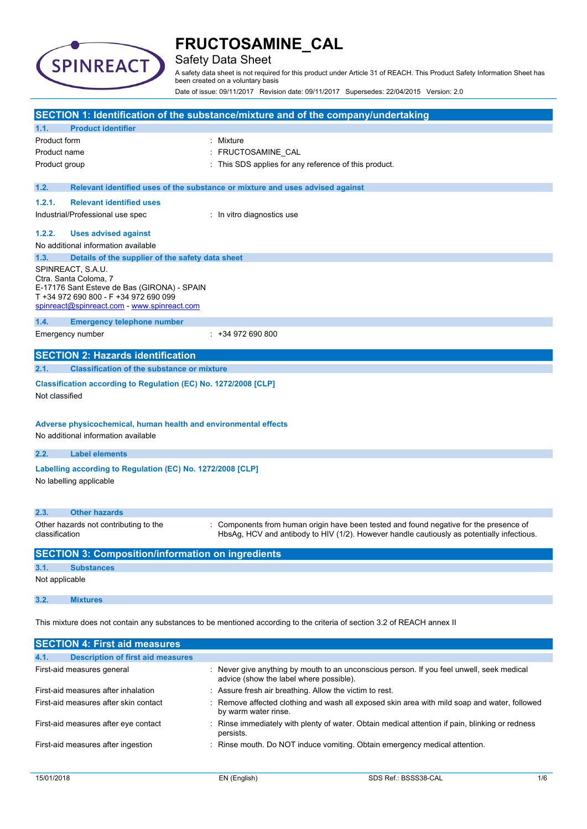

### Safety Data Sheet

A safety data sheet is not required for this product under Article 31 of REACH. This Product Safety Information Sheet has been created on a voluntary basis

Date of issue: 09/11/2017 Revision date: 09/11/2017 Supersedes: 22/04/2015 Version: 2.0

|                                                                                                                                                                                   | SECTION 1: Identification of the substance/mixture and of the company/undertaking                                                                                                  |
|-----------------------------------------------------------------------------------------------------------------------------------------------------------------------------------|------------------------------------------------------------------------------------------------------------------------------------------------------------------------------------|
| <b>Product identifier</b><br>1.1.                                                                                                                                                 |                                                                                                                                                                                    |
| Product form                                                                                                                                                                      | : Mixture                                                                                                                                                                          |
| Product name                                                                                                                                                                      | FRUCTOSAMINE_CAL                                                                                                                                                                   |
| Product group                                                                                                                                                                     | This SDS applies for any reference of this product.                                                                                                                                |
|                                                                                                                                                                                   |                                                                                                                                                                                    |
| 1.2.                                                                                                                                                                              | Relevant identified uses of the substance or mixture and uses advised against                                                                                                      |
| 1.2.1.<br><b>Relevant identified uses</b>                                                                                                                                         |                                                                                                                                                                                    |
| Industrial/Professional use spec                                                                                                                                                  | : In vitro diagnostics use                                                                                                                                                         |
| 1.2.2.<br><b>Uses advised against</b>                                                                                                                                             |                                                                                                                                                                                    |
| No additional information available                                                                                                                                               |                                                                                                                                                                                    |
| 1.3.<br>Details of the supplier of the safety data sheet                                                                                                                          |                                                                                                                                                                                    |
| SPINREACT, S.A.U.<br>Ctra. Santa Coloma, 7<br>E-17176 Sant Esteve de Bas (GIRONA) - SPAIN<br>T +34 972 690 800 - F +34 972 690 099<br>spinreact@spinreact.com - www.spinreact.com |                                                                                                                                                                                    |
| 1.4.<br><b>Emergency telephone number</b>                                                                                                                                         |                                                                                                                                                                                    |
| Emergency number                                                                                                                                                                  | $: +34972690800$                                                                                                                                                                   |
|                                                                                                                                                                                   |                                                                                                                                                                                    |
| <b>SECTION 2: Hazards identification</b>                                                                                                                                          |                                                                                                                                                                                    |
| <b>Classification of the substance or mixture</b><br>2.1.                                                                                                                         |                                                                                                                                                                                    |
| Classification according to Regulation (EC) No. 1272/2008 [CLP]<br>Not classified<br>Adverse physicochemical, human health and environmental effects                              |                                                                                                                                                                                    |
| No additional information available                                                                                                                                               |                                                                                                                                                                                    |
| 2.2.<br><b>Label elements</b>                                                                                                                                                     |                                                                                                                                                                                    |
| Labelling according to Regulation (EC) No. 1272/2008 [CLP]<br>No labelling applicable                                                                                             |                                                                                                                                                                                    |
| 2.3.<br><b>Other hazards</b>                                                                                                                                                      |                                                                                                                                                                                    |
| Other hazards not contributing to the<br>classification                                                                                                                           | Components from human origin have been tested and found negative for the presence of<br>HbsAg, HCV and antibody to HIV (1/2). However handle cautiously as potentially infectious. |
| <b>SECTION 3: Composition/information on ingredients</b>                                                                                                                          |                                                                                                                                                                                    |
| 3.1.<br><b>Substances</b>                                                                                                                                                         |                                                                                                                                                                                    |
| Not applicable                                                                                                                                                                    |                                                                                                                                                                                    |
| 3.2.<br><b>Mixtures</b>                                                                                                                                                           |                                                                                                                                                                                    |
|                                                                                                                                                                                   | This mixture does not contain any substances to be mentioned according to the criteria of section 3.2 of REACH annex II                                                            |
| <b>SECTION 4: First aid measures</b>                                                                                                                                              |                                                                                                                                                                                    |

| <b>Description of first aid measures</b><br>4.1. |                                                                                                                                      |
|--------------------------------------------------|--------------------------------------------------------------------------------------------------------------------------------------|
| First-aid measures general                       | : Never give anything by mouth to an unconscious person. If you feel unwell, seek medical<br>advice (show the label where possible). |
| First-aid measures after inhalation              | : Assure fresh air breathing. Allow the victim to rest.                                                                              |
| First-aid measures after skin contact            | : Remove affected clothing and wash all exposed skin area with mild soap and water, followed<br>by warm water rinse.                 |
| First-aid measures after eye contact             | Rinse immediately with plenty of water. Obtain medical attention if pain, blinking or redness<br>persists.                           |
| First-aid measures after ingestion               | : Rinse mouth. Do NOT induce vomiting. Obtain emergency medical attention.                                                           |
|                                                  |                                                                                                                                      |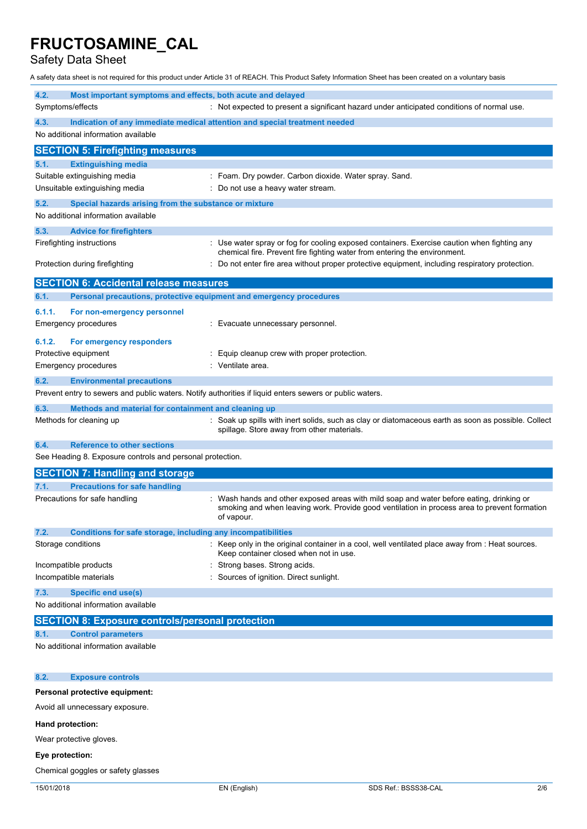Safety Data Sheet

A safety data sheet is not required for this product under Article 31 of REACH. This Product Safety Information Sheet has been created on a voluntary basis

| 4.2.<br>Most important symptoms and effects, both acute and delayed                                     |                                                                                                                                                                                                        |
|---------------------------------------------------------------------------------------------------------|--------------------------------------------------------------------------------------------------------------------------------------------------------------------------------------------------------|
| Symptoms/effects                                                                                        | : Not expected to present a significant hazard under anticipated conditions of normal use.                                                                                                             |
| 4.3.<br>No additional information available                                                             | Indication of any immediate medical attention and special treatment needed                                                                                                                             |
| <b>SECTION 5: Firefighting measures</b>                                                                 |                                                                                                                                                                                                        |
| 5.1.<br><b>Extinguishing media</b>                                                                      |                                                                                                                                                                                                        |
| Suitable extinguishing media                                                                            | : Foam. Dry powder. Carbon dioxide. Water spray. Sand.                                                                                                                                                 |
| Unsuitable extinguishing media                                                                          | : Do not use a heavy water stream.                                                                                                                                                                     |
| 5.2.<br>Special hazards arising from the substance or mixture                                           |                                                                                                                                                                                                        |
| No additional information available                                                                     |                                                                                                                                                                                                        |
| <b>Advice for firefighters</b><br>5.3.                                                                  |                                                                                                                                                                                                        |
| Firefighting instructions                                                                               | Use water spray or fog for cooling exposed containers. Exercise caution when fighting any<br>chemical fire. Prevent fire fighting water from entering the environment.                                 |
| Protection during firefighting                                                                          | Do not enter fire area without proper protective equipment, including respiratory protection.                                                                                                          |
| <b>SECTION 6: Accidental release measures</b>                                                           |                                                                                                                                                                                                        |
| 6.1.<br>Personal precautions, protective equipment and emergency procedures                             |                                                                                                                                                                                                        |
| 6.1.1.<br>For non-emergency personnel                                                                   |                                                                                                                                                                                                        |
| <b>Emergency procedures</b>                                                                             | Evacuate unnecessary personnel.                                                                                                                                                                        |
| 6.1.2.<br>For emergency responders                                                                      |                                                                                                                                                                                                        |
| Protective equipment                                                                                    | Equip cleanup crew with proper protection.                                                                                                                                                             |
| <b>Emergency procedures</b>                                                                             | Ventilate area.                                                                                                                                                                                        |
| 6.2.<br><b>Environmental precautions</b>                                                                |                                                                                                                                                                                                        |
| Prevent entry to sewers and public waters. Notify authorities if liquid enters sewers or public waters. |                                                                                                                                                                                                        |
| 6.3.<br>Methods and material for containment and cleaning up                                            |                                                                                                                                                                                                        |
| Methods for cleaning up                                                                                 | Soak up spills with inert solids, such as clay or diatomaceous earth as soon as possible. Collect<br>spillage. Store away from other materials.                                                        |
| <b>Reference to other sections</b><br>6.4.                                                              |                                                                                                                                                                                                        |
| See Heading 8. Exposure controls and personal protection.                                               |                                                                                                                                                                                                        |
| <b>SECTION 7: Handling and storage</b>                                                                  |                                                                                                                                                                                                        |
| <b>Precautions for safe handling</b><br>7.1.                                                            |                                                                                                                                                                                                        |
| Precautions for safe handling                                                                           | : Wash hands and other exposed areas with mild soap and water before eating, drinking or<br>smoking and when leaving work. Provide good ventilation in process area to prevent formation<br>of vapour. |
| 7.2.<br>Conditions for safe storage, including any incompatibilities                                    |                                                                                                                                                                                                        |
| Storage conditions                                                                                      | Keep only in the original container in a cool, well ventilated place away from : Heat sources.<br>Keep container closed when not in use.                                                               |
| Incompatible products                                                                                   | Strong bases. Strong acids.                                                                                                                                                                            |
| Incompatible materials                                                                                  | Sources of ignition. Direct sunlight.                                                                                                                                                                  |
| <b>Specific end use(s)</b><br>7.3.                                                                      |                                                                                                                                                                                                        |
| No additional information available                                                                     |                                                                                                                                                                                                        |
| <b>SECTION 8: Exposure controls/personal protection</b>                                                 |                                                                                                                                                                                                        |
| <b>Control parameters</b><br>8.1.                                                                       |                                                                                                                                                                                                        |
| No additional information available                                                                     |                                                                                                                                                                                                        |
| <b>Exposure controls</b><br>8.2.                                                                        |                                                                                                                                                                                                        |
| Personal protective equipment:                                                                          |                                                                                                                                                                                                        |
| Avoid all unnecessary exposure.                                                                         |                                                                                                                                                                                                        |
| Hand protection:                                                                                        |                                                                                                                                                                                                        |

Wear protective gloves.

### **Eye protection:**

Chemical goggles or safety glasses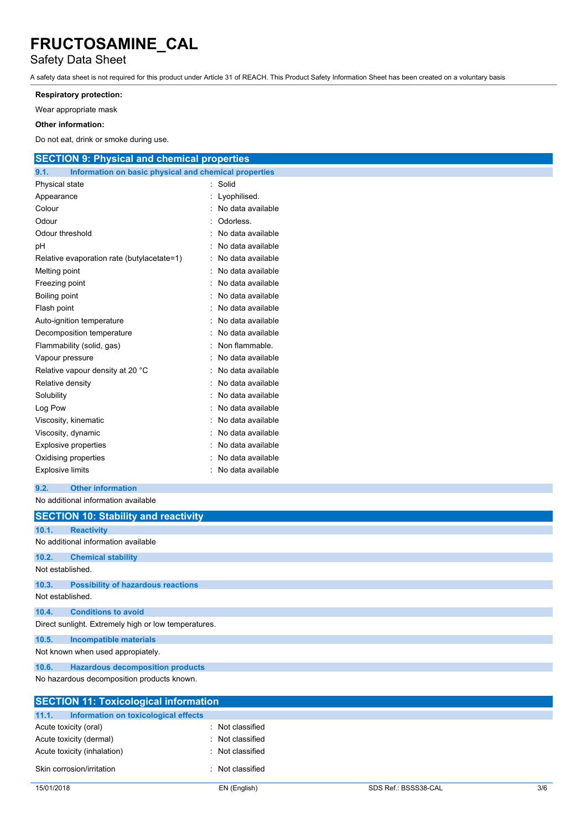### Safety Data Sheet

A safety data sheet is not required for this product under Article 31 of REACH. This Product Safety Information Sheet has been created on a voluntary basis

#### **Respiratory protection:**

Wear appropriate mask

#### **Other information:**

Do not eat, drink or smoke during use.

| <b>SECTION 9: Physical and chemical properties</b>            |                   |
|---------------------------------------------------------------|-------------------|
| 9.1.<br>Information on basic physical and chemical properties |                   |
| Physical state                                                | Solid             |
| Appearance                                                    | Lyophilised.      |
| Colour                                                        | No data available |
| Odour                                                         | Odorless.         |
| Odour threshold                                               | No data available |
| рH                                                            | No data available |
| Relative evaporation rate (butylacetate=1)                    | No data available |
| Melting point                                                 | No data available |
| Freezing point                                                | No data available |
| Boiling point                                                 | No data available |
| Flash point                                                   | No data available |
| Auto-ignition temperature                                     | No data available |
| Decomposition temperature                                     | No data available |
| Flammability (solid, gas)                                     | Non flammable.    |
| Vapour pressure                                               | No data available |
| Relative vapour density at 20 °C                              | No data available |
| Relative density                                              | No data available |
| Solubility                                                    | No data available |
| Log Pow                                                       | No data available |
| Viscosity, kinematic                                          | No data available |
| Viscosity, dynamic                                            | No data available |
| <b>Explosive properties</b>                                   | No data available |
| Oxidising properties                                          | No data available |
| <b>Explosive limits</b>                                       | No data available |
| 9.2.<br><b>Other information</b>                              |                   |
| No additional information available                           |                   |
| <b>SECTION 10: Stability and reactivity</b>                   |                   |
| <b>Reactivity</b><br>10.1.                                    |                   |
| No additional information available                           |                   |
| 10.2.<br><b>Chemical stability</b>                            |                   |
| Not established.                                              |                   |
| 10.3.<br><b>Possibility of hazardous reactions</b>            |                   |
| Not established.                                              |                   |
| 10.4.<br><b>Conditions to avoid</b>                           |                   |
| Direct sunlight. Extremely high or low temperatures.          |                   |
| 10.5.<br><b>Incompatible materials</b>                        |                   |
| Not known when used appropiately.                             |                   |

**10.6. Hazardous decomposition products**

No hazardous decomposition products known.

| <b>SECTION 11: Toxicological information</b>  |                  |  |
|-----------------------------------------------|------------------|--|
| 11.1.<br>Information on toxicological effects |                  |  |
| Acute toxicity (oral)                         | : Not classified |  |
| Acute toxicity (dermal)                       | : Not classified |  |
| Acute toxicity (inhalation)                   | : Not classified |  |
| Skin corrosion/irritation                     | : Not classified |  |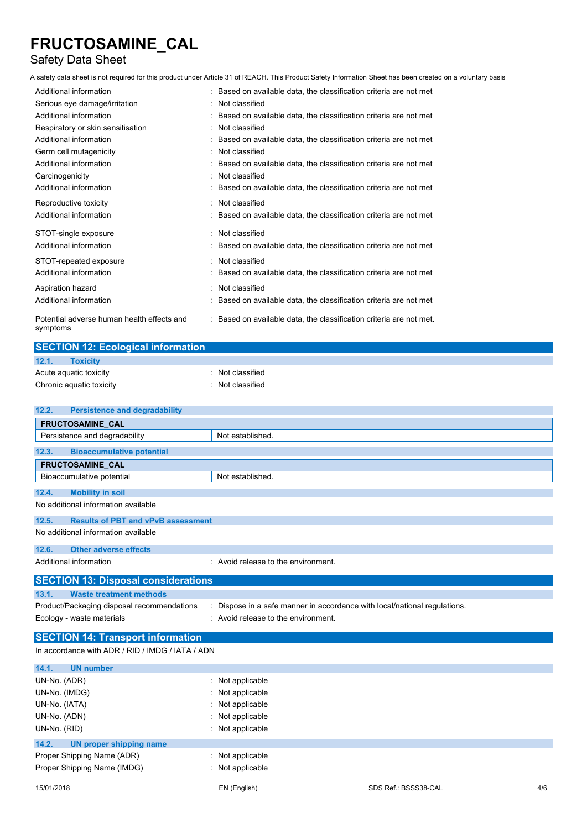### Safety Data Sheet

A safety data sheet is not required for this product under Article 31 of REACH. This Product Safety Information Sheet has been created on a voluntary basis

| Additional information                                 | : Based on available data, the classification criteria are not met  |
|--------------------------------------------------------|---------------------------------------------------------------------|
| Serious eye damage/irritation                          | : Not classified                                                    |
| Additional information                                 | : Based on available data, the classification criteria are not met  |
| Respiratory or skin sensitisation                      | : Not classified                                                    |
| Additional information                                 | : Based on available data, the classification criteria are not met  |
| Germ cell mutagenicity                                 | : Not classified                                                    |
| Additional information                                 | : Based on available data, the classification criteria are not met  |
| Carcinogenicity                                        | Not classified                                                      |
| Additional information                                 | : Based on available data, the classification criteria are not met  |
| Reproductive toxicity                                  | : Not classified                                                    |
| Additional information                                 | : Based on available data, the classification criteria are not met  |
| STOT-single exposure                                   | : Not classified                                                    |
| Additional information                                 | : Based on available data, the classification criteria are not met  |
| STOT-repeated exposure                                 | : Not classified                                                    |
| Additional information                                 | : Based on available data, the classification criteria are not met  |
| Aspiration hazard                                      | : Not classified                                                    |
| Additional information                                 | Based on available data, the classification criteria are not met    |
| Potential adverse human health effects and<br>symptoms | : Based on available data, the classification criteria are not met. |

| <b>SECTION 12: Ecological information</b> |                             |  |
|-------------------------------------------|-----------------------------|--|
| 12.1.<br>Toxicity                         |                             |  |
| Acute aquatic toxicity                    | $\therefore$ Not classified |  |
| Chronic aquatic toxicity                  | : Not classified            |  |
|                                           |                             |  |

| <b>Persistence and degradability</b><br>12.2.      |                                                                           |  |  |  |
|----------------------------------------------------|---------------------------------------------------------------------------|--|--|--|
| <b>FRUCTOSAMINE CAL</b>                            |                                                                           |  |  |  |
| Persistence and degradability                      | Not established.                                                          |  |  |  |
| 12.3.<br><b>Bioaccumulative potential</b>          |                                                                           |  |  |  |
| FRUCTOSAMINE_CAL                                   |                                                                           |  |  |  |
| Bioaccumulative potential                          | Not established.                                                          |  |  |  |
| <b>Mobility in soil</b><br>12.4.                   |                                                                           |  |  |  |
| No additional information available                |                                                                           |  |  |  |
| <b>Results of PBT and vPvB assessment</b><br>12.5. |                                                                           |  |  |  |
| No additional information available                |                                                                           |  |  |  |
| <b>Other adverse effects</b><br>12.6.              |                                                                           |  |  |  |
| Additional information                             | : Avoid release to the environment.                                       |  |  |  |
| <b>SECTION 13: Disposal considerations</b>         |                                                                           |  |  |  |
| <b>Waste treatment methods</b><br>13.1.            |                                                                           |  |  |  |
| Product/Packaging disposal recommendations         | : Dispose in a safe manner in accordance with local/national regulations. |  |  |  |
| Ecology - waste materials                          | : Avoid release to the environment.                                       |  |  |  |
| <b>SECTION 14: Transport information</b>           |                                                                           |  |  |  |
| In accordance with ADR / RID / IMDG / IATA / ADN   |                                                                           |  |  |  |
| 14.1.<br><b>UN number</b>                          |                                                                           |  |  |  |
| UN-No. (ADR)                                       | : Not applicable                                                          |  |  |  |
| UN-No. (IMDG)                                      | Not applicable                                                            |  |  |  |
| UN-No. (IATA)                                      | : Not applicable                                                          |  |  |  |
| UN-No. (ADN)                                       | Not applicable                                                            |  |  |  |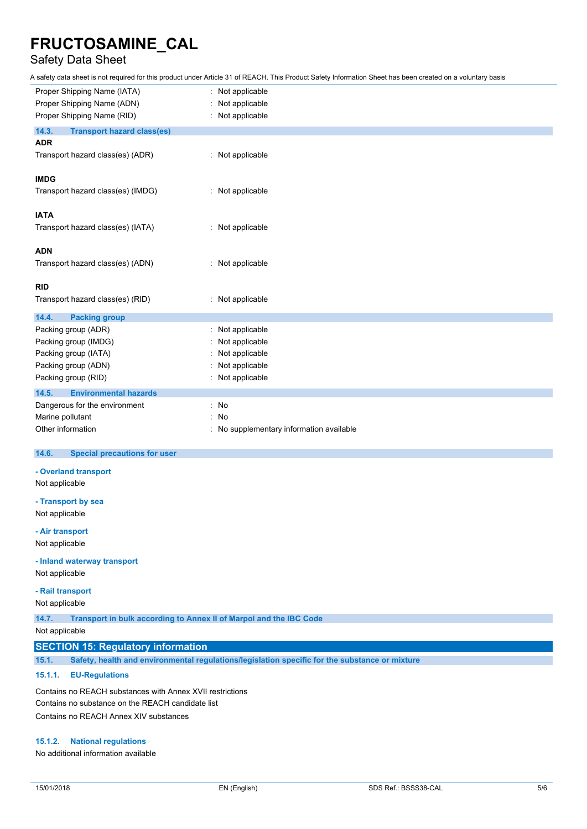## Safety Data Sheet

A safety data sheet is not required for this product under Article 31 of REACH. This Product Safety Information Sheet has been created on a voluntary basis

| Proper Shipping Name (IATA)<br>Proper Shipping Name (ADN) | Not applicable<br>Not applicable       |
|-----------------------------------------------------------|----------------------------------------|
| Proper Shipping Name (RID)                                | Not applicable                         |
|                                                           |                                        |
| 14.3.<br><b>Transport hazard class(es)</b><br><b>ADR</b>  |                                        |
| Transport hazard class(es) (ADR)                          | Not applicable                         |
| <b>IMDG</b>                                               |                                        |
| Transport hazard class(es) (IMDG)                         | : Not applicable                       |
| <b>IATA</b>                                               |                                        |
| Transport hazard class(es) (IATA)                         | Not applicable<br>÷                    |
| <b>ADN</b>                                                |                                        |
| Transport hazard class(es) (ADN)                          | Not applicable                         |
| <b>RID</b>                                                |                                        |
| Transport hazard class(es) (RID)                          | : Not applicable                       |
| 14.4.<br><b>Packing group</b>                             |                                        |
| Packing group (ADR)                                       | Not applicable                         |
| Packing group (IMDG)                                      | Not applicable                         |
| Packing group (IATA)                                      | Not applicable                         |
| Packing group (ADN)                                       | Not applicable                         |
| Packing group (RID)                                       | Not applicable                         |
| 14.5.<br><b>Environmental hazards</b>                     |                                        |
| Dangerous for the environment                             | : No                                   |
| Marine pollutant                                          | No<br>÷                                |
| Other information                                         | No supplementary information available |

#### $14.6.$ **14.6. Special precautions for user**

### **- Overland transport**

Not applicable

**- Transport by sea** Not applicable

### **- Air transport**

Not applicable

### **- Inland waterway transport**

Not applicable

### **- Rail transport**

Not applicable

**14.7. Transport in bulk according to Annex II of Marpol and the IBC Code**

Not applicable

### **SECTION 15: Regulatory information**

**15.1. Safety, health and environmental regulations/legislation specific for the substance or mixture**

### **15.1.1. EU-Regulations**

Contains no REACH substances with Annex XVII restrictions Contains no substance on the REACH candidate list Contains no REACH Annex XIV substances

### **15.1.2. National regulations**

No additional information available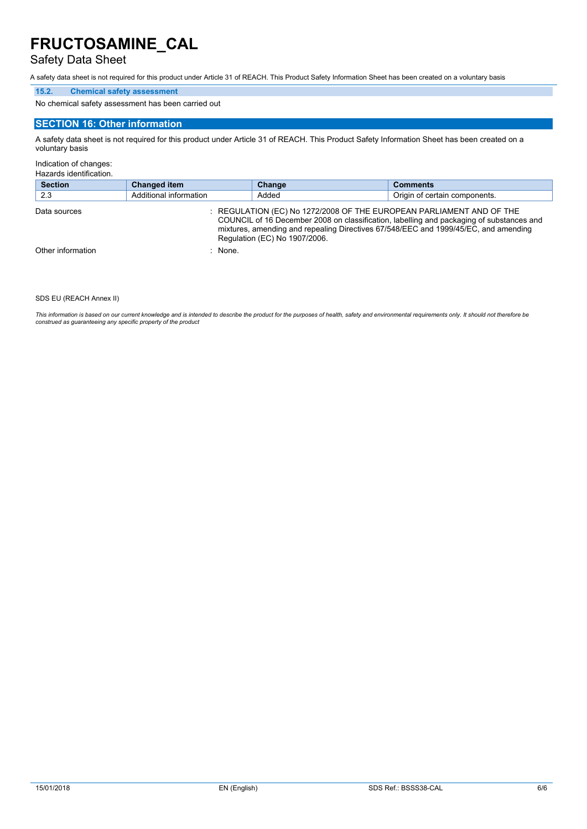### Safety Data Sheet

A safety data sheet is not required for this product under Article 31 of REACH. This Product Safety Information Sheet has been created on a voluntary basis

### **15.2. Chemical safety assessment**

No chemical safety assessment has been carried out

### **SECTION 16: Other information**

A safety data sheet is not required for this product under Article 31 of REACH. This Product Safety Information Sheet has been created on a voluntary basis

Indication of changes:

Hazards identification.

| <b>Section</b>    | <b>Changed item</b>    | Change                                                                                                | <b>Comments</b>                                                                                                                                                                 |
|-------------------|------------------------|-------------------------------------------------------------------------------------------------------|---------------------------------------------------------------------------------------------------------------------------------------------------------------------------------|
| 2.3               | Additional information | Added                                                                                                 | Origin of certain components.                                                                                                                                                   |
| Data sources      |                        | : REGULATION (EC) No 1272/2008 OF THE EUROPEAN PARLIAMENT AND OF THE<br>Regulation (EC) No 1907/2006. | COUNCIL of 16 December 2008 on classification, labelling and packaging of substances and<br>mixtures, amending and repealing Directives 67/548/EEC and 1999/45/EC, and amending |
| Other information | $:$ None.              |                                                                                                       |                                                                                                                                                                                 |

#### SDS EU (REACH Annex II)

This information is based on our current knowledge and is intended to describe the product for the purposes of health, safety and environmental requirements only. It should not therefore be<br>construed as guaranteeing any sp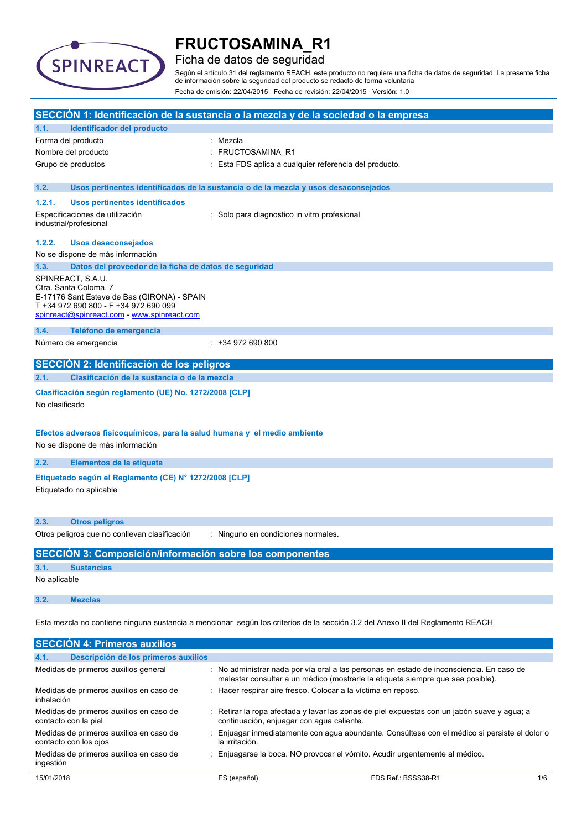

### Ficha de datos de seguridad

Según el artículo 31 del reglamento REACH, este producto no requiere una ficha de datos de seguridad. La presente ficha de información sobre la seguridad del producto se redactó de forma voluntaria Fecha de emisión: 22/04/2015 Fecha de revisión: 22/04/2015 Versión: 1.0

|                                                                                                                               |                                                                                      | SECCIÓN 1: Identificación de la sustancia o la mezcla y de la sociedad o la empresa                                                                                       |  |  |
|-------------------------------------------------------------------------------------------------------------------------------|--------------------------------------------------------------------------------------|---------------------------------------------------------------------------------------------------------------------------------------------------------------------------|--|--|
| 1.1.                                                                                                                          | Identificador del producto                                                           |                                                                                                                                                                           |  |  |
|                                                                                                                               | Forma del producto                                                                   | : Mezcla                                                                                                                                                                  |  |  |
|                                                                                                                               | Nombre del producto                                                                  | FRUCTOSAMINA_R1                                                                                                                                                           |  |  |
|                                                                                                                               | Grupo de productos                                                                   | Esta FDS aplica a cualquier referencia del producto.                                                                                                                      |  |  |
|                                                                                                                               |                                                                                      |                                                                                                                                                                           |  |  |
| 1.2.                                                                                                                          |                                                                                      | Usos pertinentes identificados de la sustancia o de la mezcla y usos desaconsejados                                                                                       |  |  |
| 1.2.1.                                                                                                                        | <b>Usos pertinentes identificados</b>                                                |                                                                                                                                                                           |  |  |
|                                                                                                                               | Especificaciones de utilización                                                      | : Solo para diagnostico in vitro profesional                                                                                                                              |  |  |
|                                                                                                                               | industrial/profesional                                                               |                                                                                                                                                                           |  |  |
| 1.2.2.                                                                                                                        | <b>Usos desaconsejados</b>                                                           |                                                                                                                                                                           |  |  |
|                                                                                                                               | No se dispone de más información                                                     |                                                                                                                                                                           |  |  |
| 1.3.                                                                                                                          | Datos del proveedor de la ficha de datos de seguridad                                |                                                                                                                                                                           |  |  |
|                                                                                                                               | SPINREACT, S.A.U.                                                                    |                                                                                                                                                                           |  |  |
|                                                                                                                               | Ctra. Santa Coloma, 7                                                                |                                                                                                                                                                           |  |  |
|                                                                                                                               | E-17176 Sant Esteve de Bas (GIRONA) - SPAIN<br>T +34 972 690 800 - F +34 972 690 099 |                                                                                                                                                                           |  |  |
|                                                                                                                               | spinreact@spinreact.com - www.spinreact.com                                          |                                                                                                                                                                           |  |  |
| 1.4.                                                                                                                          | Teléfono de emergencia                                                               |                                                                                                                                                                           |  |  |
|                                                                                                                               | Número de emergencia                                                                 | $: +34972690800$                                                                                                                                                          |  |  |
|                                                                                                                               |                                                                                      |                                                                                                                                                                           |  |  |
|                                                                                                                               | SECCIÓN 2: Identificación de los peligros                                            |                                                                                                                                                                           |  |  |
| 2.1.                                                                                                                          | Clasificación de la sustancia o de la mezcla                                         |                                                                                                                                                                           |  |  |
|                                                                                                                               | Clasificación según reglamento (UE) No. 1272/2008 [CLP]                              |                                                                                                                                                                           |  |  |
| No clasificado                                                                                                                |                                                                                      |                                                                                                                                                                           |  |  |
|                                                                                                                               |                                                                                      |                                                                                                                                                                           |  |  |
|                                                                                                                               | Efectos adversos fisicoquímicos, para la salud humana y el medio ambiente            |                                                                                                                                                                           |  |  |
|                                                                                                                               | No se dispone de más información                                                     |                                                                                                                                                                           |  |  |
|                                                                                                                               |                                                                                      |                                                                                                                                                                           |  |  |
| 2.2.                                                                                                                          | Elementos de la etiqueta                                                             |                                                                                                                                                                           |  |  |
|                                                                                                                               | Etiquetado según el Reglamento (CE) Nº 1272/2008 [CLP]                               |                                                                                                                                                                           |  |  |
|                                                                                                                               | Etiquetado no aplicable                                                              |                                                                                                                                                                           |  |  |
|                                                                                                                               |                                                                                      |                                                                                                                                                                           |  |  |
|                                                                                                                               |                                                                                      |                                                                                                                                                                           |  |  |
| 2.3.                                                                                                                          | <b>Otros peligros</b>                                                                |                                                                                                                                                                           |  |  |
|                                                                                                                               | Otros peligros que no conllevan clasificación                                        | Ninguno en condiciones normales.                                                                                                                                          |  |  |
|                                                                                                                               | SECCIÓN 3: Composición/información sobre los componentes                             |                                                                                                                                                                           |  |  |
| 3.1.                                                                                                                          | <b>Sustancias</b>                                                                    |                                                                                                                                                                           |  |  |
| No aplicable                                                                                                                  |                                                                                      |                                                                                                                                                                           |  |  |
|                                                                                                                               |                                                                                      |                                                                                                                                                                           |  |  |
| 3.2.                                                                                                                          | <b>Mezclas</b>                                                                       |                                                                                                                                                                           |  |  |
|                                                                                                                               |                                                                                      |                                                                                                                                                                           |  |  |
| Esta mezcla no contiene ninguna sustancia a mencionar según los criterios de la sección 3.2 del Anexo II del Reglamento REACH |                                                                                      |                                                                                                                                                                           |  |  |
|                                                                                                                               | <b>SECCIÓN 4: Primeros auxilios</b>                                                  |                                                                                                                                                                           |  |  |
|                                                                                                                               |                                                                                      |                                                                                                                                                                           |  |  |
| 4.1.                                                                                                                          | Descripción de los primeros auxilios                                                 |                                                                                                                                                                           |  |  |
|                                                                                                                               | Medidas de primeros auxilios general                                                 | No administrar nada por vía oral a las personas en estado de inconsciencia. En caso de<br>malestar consultar a un médico (mostrarle la etiqueta siempre que sea posible). |  |  |
|                                                                                                                               | Medidas de primeros auxilios en caso de                                              | Hacer respirar aire fresco. Colocar a la víctima en reposo.                                                                                                               |  |  |
| inhalación                                                                                                                    |                                                                                      |                                                                                                                                                                           |  |  |
|                                                                                                                               |                                                                                      |                                                                                                                                                                           |  |  |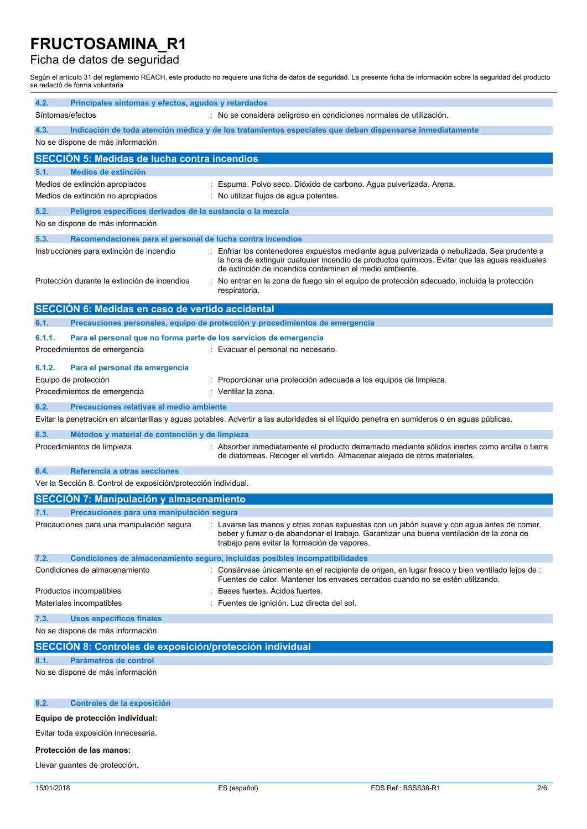### Ficha de datos de seguridad

Según el artículo 31 del reglamento REACH, este producto no requiere una ficha de datos de seguridad. La presente ficha de información sobre la seguridad del producto se redactó de forma voluntaria

| 4.2.<br>Principales síntomas y efectos, agudos y retardados<br>: No se considera peligroso en condiciones normales de utilización.<br>Síntomas/efectos                                                                                                                                             |  |
|----------------------------------------------------------------------------------------------------------------------------------------------------------------------------------------------------------------------------------------------------------------------------------------------------|--|
|                                                                                                                                                                                                                                                                                                    |  |
|                                                                                                                                                                                                                                                                                                    |  |
| 4.3.<br>Indicación de toda atención médica y de los tratamientos especiales que deban dispensarse inmediatamente                                                                                                                                                                                   |  |
| No se dispone de más información                                                                                                                                                                                                                                                                   |  |
| <b>SECCIÓN 5: Medidas de lucha contra incendios</b>                                                                                                                                                                                                                                                |  |
| <b>Medios de extinción</b><br>5.1.                                                                                                                                                                                                                                                                 |  |
| Medios de extinción apropiados<br>Espuma. Polvo seco. Dióxido de carbono. Agua pulverizada. Arena.                                                                                                                                                                                                 |  |
| Medios de extinción no apropiados<br>No utilizar flujos de agua potentes.                                                                                                                                                                                                                          |  |
| 5.2.<br>Peligros específicos derivados de la sustancia o la mezcla                                                                                                                                                                                                                                 |  |
| No se dispone de más información                                                                                                                                                                                                                                                                   |  |
| 5.3.<br>Recomendaciones para el personal de lucha contra incendios                                                                                                                                                                                                                                 |  |
| Instrucciones para extinción de incendio<br>Enfriar los contenedores expuestos mediante agua pulverizada o nebulizada. Sea prudente a<br>la hora de extinguir cualquier incendio de productos químicos. Evitar que las aguas residuales<br>de extinción de incendios contaminen el medio ambiente. |  |
| Protección durante la extinción de incendios<br>No entrar en la zona de fuego sin el equipo de protección adecuado, incluida la protección<br>respiratoria.                                                                                                                                        |  |
| SECCIÓN 6: Medidas en caso de vertido accidental                                                                                                                                                                                                                                                   |  |
| Precauciones personales, equipo de protección y procedimientos de emergencia<br>6.1.                                                                                                                                                                                                               |  |
| 6.1.1.<br>Para el personal que no forma parte de los servicios de emergencia                                                                                                                                                                                                                       |  |
| Procedimientos de emergencia<br>: Evacuar el personal no necesario.                                                                                                                                                                                                                                |  |
| 6.1.2.<br>Para el personal de emergencia                                                                                                                                                                                                                                                           |  |
| Equipo de protección<br>Proporcionar una protección adecuada a los equipos de limpieza.                                                                                                                                                                                                            |  |
| Ventilar la zona.<br>Procedimientos de emergencia                                                                                                                                                                                                                                                  |  |
| 6.2.<br>Precauciones relativas al medio ambiente                                                                                                                                                                                                                                                   |  |
| Evitar la penetración en alcantarillas y aguas potables. Advertir a las autoridades si el líquido penetra en sumideros o en aguas públicas.                                                                                                                                                        |  |
|                                                                                                                                                                                                                                                                                                    |  |
| 6.3.<br>Métodos y material de contención y de limpieza<br>Procedimientos de limpieza<br>: Absorber inmediatamente el producto derramado mediante sólidos inertes como arcilla o tierra                                                                                                             |  |
| de diatomeas. Recoger el vertido. Almacenar alejado de otros materiales.                                                                                                                                                                                                                           |  |
| 6.4.<br>Referencia a otras secciones                                                                                                                                                                                                                                                               |  |
| Ver la Sección 8. Control de exposición/protección individual.                                                                                                                                                                                                                                     |  |
| <b>SECCIÓN 7: Manipulación y almacenamiento</b>                                                                                                                                                                                                                                                    |  |
| 7.1.<br>Precauciones para una manipulación segura                                                                                                                                                                                                                                                  |  |
| Precauciones para una manipulación segura<br>: Lavarse las manos y otras zonas expuestas con un jabón suave y con agua antes de comer,<br>beber y fumar o de abandonar el trabajo. Garantizar una buena ventilación de la zona de<br>trabajo para evitar la formación de vapores.                  |  |
| 7.2.<br>Condiciones de almacenamiento seguro, incluidas posibles incompatibilidades                                                                                                                                                                                                                |  |
| : Consérvese únicamente en el recipiente de origen, en lugar fresco y bien ventilado lejos de :<br>Condiciones de almacenamiento<br>Fuentes de calor. Mantener los envases cerrados cuando no se estén utilizando.                                                                                 |  |
|                                                                                                                                                                                                                                                                                                    |  |
| Bases fuertes. Acidos fuertes.<br>Productos incompatibles                                                                                                                                                                                                                                          |  |
| Materiales incompatibles<br>Fuentes de ignición. Luz directa del sol.                                                                                                                                                                                                                              |  |
| <b>Usos específicos finales</b><br>7.3.                                                                                                                                                                                                                                                            |  |
| No se dispone de más información                                                                                                                                                                                                                                                                   |  |
| SECCIÓN 8: Controles de exposición/protección individual                                                                                                                                                                                                                                           |  |
| Parámetros de control<br>8.1.                                                                                                                                                                                                                                                                      |  |
| No se dispone de más información                                                                                                                                                                                                                                                                   |  |
|                                                                                                                                                                                                                                                                                                    |  |
| Controles de la exposición<br>8.2.                                                                                                                                                                                                                                                                 |  |

Evitar toda exposición innecesaria.

#### **Protección de las manos:**

Llevar guantes de protección.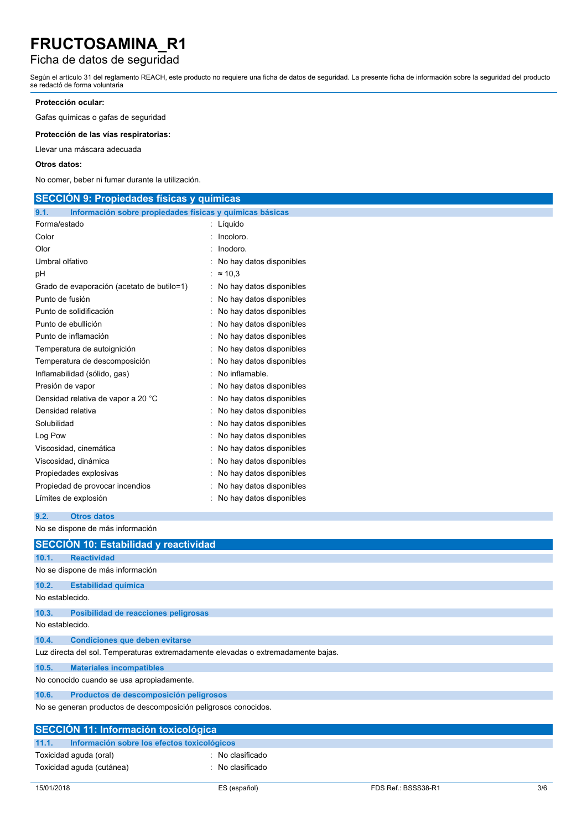## Ficha de datos de seguridad

Según el artículo 31 del reglamento REACH, este producto no requiere una ficha de datos de seguridad. La presente ficha de información sobre la seguridad del producto se redactó de forma voluntaria

### **Protección ocular:**

Gafas químicas o gafas de seguridad

**Protección de las vías respiratorias:**

Llevar una máscara adecuada

#### **Otros datos:**

No comer, beber ni fumar durante la utilización.

| <b>SECCION 9: Propiedades físicas y químicas</b>                 |                            |  |  |  |  |
|------------------------------------------------------------------|----------------------------|--|--|--|--|
| 9.1.<br>Información sobre propiedades físicas y químicas básicas |                            |  |  |  |  |
| Forma/estado                                                     | : Líquido                  |  |  |  |  |
| Color                                                            | : Incoloro.                |  |  |  |  |
| Olor                                                             | : Inodoro.                 |  |  |  |  |
| Umbral olfativo                                                  | : No hay datos disponibles |  |  |  |  |
| pH                                                               | : $\approx 10.3$           |  |  |  |  |
| Grado de evaporación (acetato de butilo=1)                       | : No hay datos disponibles |  |  |  |  |
| Punto de fusión                                                  | No hay datos disponibles   |  |  |  |  |
| Punto de solidificación                                          | No hay datos disponibles   |  |  |  |  |
| Punto de ebullición                                              | : No hay datos disponibles |  |  |  |  |
| Punto de inflamación                                             | : No hay datos disponibles |  |  |  |  |
| Temperatura de autoignición                                      | : No hay datos disponibles |  |  |  |  |
| Temperatura de descomposición                                    | No hay datos disponibles   |  |  |  |  |
| Inflamabilidad (sólido, gas)                                     | No inflamable.             |  |  |  |  |
| Presión de vapor                                                 | No hay datos disponibles   |  |  |  |  |
| Densidad relativa de vapor a 20 °C                               | No hay datos disponibles   |  |  |  |  |
| Densidad relativa                                                | No hay datos disponibles   |  |  |  |  |
| Solubilidad                                                      | No hay datos disponibles   |  |  |  |  |
| Log Pow                                                          | No hay datos disponibles   |  |  |  |  |
| Viscosidad, cinemática                                           | No hay datos disponibles   |  |  |  |  |
| Viscosidad, dinámica                                             | No hay datos disponibles   |  |  |  |  |
| Propiedades explosivas                                           | No hay datos disponibles   |  |  |  |  |
| Propiedad de provocar incendios                                  | No hay datos disponibles   |  |  |  |  |
| Límites de explosión                                             | No hay datos disponibles   |  |  |  |  |

```
9.2. Otros datos
```
No se dispone de más información

|                                                                                   | SECCIÓN 10: Estabilidad y reactividad         |  |  |  |  |  |
|-----------------------------------------------------------------------------------|-----------------------------------------------|--|--|--|--|--|
| 10.1.                                                                             | <b>Reactividad</b>                            |  |  |  |  |  |
| No se dispone de más información                                                  |                                               |  |  |  |  |  |
| 10.2.                                                                             | <b>Estabilidad química</b>                    |  |  |  |  |  |
| No establecido.                                                                   |                                               |  |  |  |  |  |
| 10.3.                                                                             | Posibilidad de reacciones peligrosas          |  |  |  |  |  |
| No establecido.                                                                   |                                               |  |  |  |  |  |
| 10.4.                                                                             | <b>Condiciones que deben evitarse</b>         |  |  |  |  |  |
| Luz directa del sol. Temperaturas extremadamente elevadas o extremadamente bajas. |                                               |  |  |  |  |  |
| 10.5.                                                                             | <b>Materiales incompatibles</b>               |  |  |  |  |  |
| No conocido cuando se usa apropiadamente.                                         |                                               |  |  |  |  |  |
| 10.6.                                                                             | Productos de descomposición peligrosos        |  |  |  |  |  |
| No se generan productos de descomposición peligrosos conocidos.                   |                                               |  |  |  |  |  |
| <b>SECCIÓN 11: Información toxicológica</b>                                       |                                               |  |  |  |  |  |
| 11.1.                                                                             | Información sobre los efectos toxicológicos   |  |  |  |  |  |
|                                                                                   | Toxicidad aguda (oral)<br>: No clasificado    |  |  |  |  |  |
|                                                                                   | Toxicidad aguda (cutánea)<br>: No clasificado |  |  |  |  |  |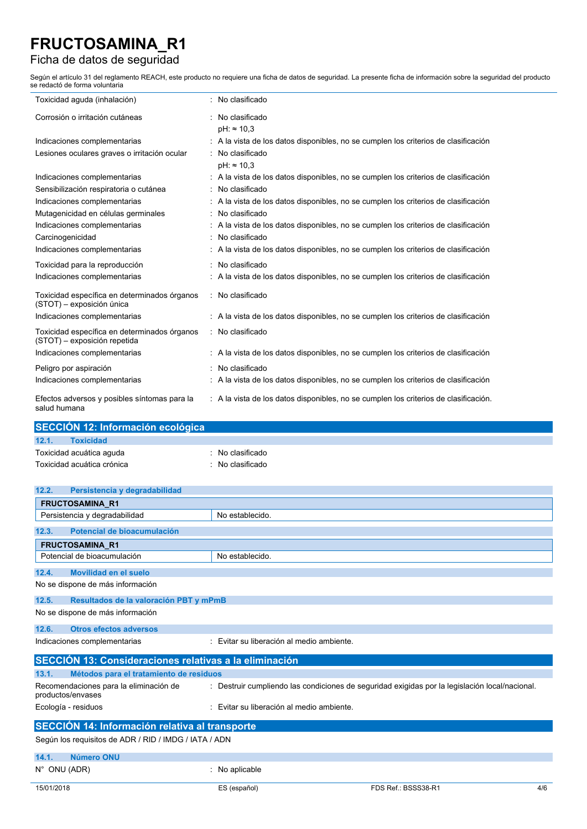### Ficha de datos de seguridad

Según el artículo 31 del reglamento REACH, este producto no requiere una ficha de datos de seguridad. La presente ficha de información sobre la seguridad del producto se redactó de forma voluntaria

| Toxicidad aguda (inhalación)                                                 | No clasificado                                                                       |
|------------------------------------------------------------------------------|--------------------------------------------------------------------------------------|
| Corrosión o irritación cutáneas                                              | No clasificado<br>$pH: \approx 10.3$                                                 |
| Indicaciones complementarias                                                 | : A la vista de los datos disponibles, no se cumplen los criterios de clasificación  |
| Lesiones oculares graves o irritación ocular                                 | No clasificado<br>$pH: \approx 10.3$                                                 |
| Indicaciones complementarias                                                 | : A la vista de los datos disponibles, no se cumplen los criterios de clasificación  |
| Sensibilización respiratoria o cutánea                                       | No clasificado                                                                       |
| Indicaciones complementarias                                                 | : A la vista de los datos disponibles, no se cumplen los criterios de clasificación  |
| Mutagenicidad en células germinales                                          | No clasificado                                                                       |
| Indicaciones complementarias                                                 | A la vista de los datos disponibles, no se cumplen los criterios de clasificación    |
| Carcinogenicidad                                                             | No clasificado                                                                       |
| Indicaciones complementarias                                                 | : A la vista de los datos disponibles, no se cumplen los criterios de clasificación  |
| Toxicidad para la reproducción                                               | No clasificado                                                                       |
| Indicaciones complementarias                                                 | : A la vista de los datos disponibles, no se cumplen los criterios de clasificación  |
| Toxicidad específica en determinados órganos<br>(STOT) - exposición única    | : No clasificado                                                                     |
| Indicaciones complementarias                                                 | : A la vista de los datos disponibles, no se cumplen los criterios de clasificación  |
| Toxicidad específica en determinados órganos<br>(STOT) - exposición repetida | : No clasificado                                                                     |
| Indicaciones complementarias                                                 | : A la vista de los datos disponibles, no se cumplen los criterios de clasificación  |
| Peligro por aspiración                                                       | No clasificado                                                                       |
| Indicaciones complementarias                                                 | : A la vista de los datos disponibles, no se cumplen los criterios de clasificación  |
| Efectos adversos y posibles síntomas para la<br>salud humana                 | : A la vista de los datos disponibles, no se cumplen los criterios de clasificación. |

|                                              |       | SECCIÓN 12: Información ecológica |  |
|----------------------------------------------|-------|-----------------------------------|--|
|                                              | 12.1. | <b>Toxicidad</b>                  |  |
| Toxicidad acuática aguda<br>: No clasificado |       |                                   |  |
| Toxicidad acuática crónica<br>No clasificado |       |                                   |  |

| 12.2.<br>Persistencia y degradabilidad                      |                                           |                                                                                                |     |
|-------------------------------------------------------------|-------------------------------------------|------------------------------------------------------------------------------------------------|-----|
| <b>FRUCTOSAMINA R1</b>                                      |                                           |                                                                                                |     |
| Persistencia y degradabilidad                               | No establecido.                           |                                                                                                |     |
| Potencial de bioacumulación<br>12.3.                        |                                           |                                                                                                |     |
| <b>FRUCTOSAMINA R1</b>                                      |                                           |                                                                                                |     |
| Potencial de bioacumulación                                 | No establecido.                           |                                                                                                |     |
| 12.4.<br><b>Movilidad en el suelo</b>                       |                                           |                                                                                                |     |
| No se dispone de más información                            |                                           |                                                                                                |     |
| 12.5.<br>Resultados de la valoración PBT y mPmB             |                                           |                                                                                                |     |
| No se dispone de más información                            |                                           |                                                                                                |     |
| 12.6.<br><b>Otros efectos adversos</b>                      |                                           |                                                                                                |     |
| Indicaciones complementarias                                | : Evitar su liberación al medio ambiente. |                                                                                                |     |
| SECCIÓN 13: Consideraciones relativas a la eliminación      |                                           |                                                                                                |     |
| 13.1.<br>Métodos para el tratamiento de residuos            |                                           |                                                                                                |     |
| Recomendaciones para la eliminación de<br>productos/envases |                                           | : Destruir cumpliendo las condiciones de seguridad exigidas por la legislación local/nacional. |     |
| Ecología - residuos                                         | : Evitar su liberación al medio ambiente. |                                                                                                |     |
| <b>SECCIÓN 14: Información relativa al transporte</b>       |                                           |                                                                                                |     |
| Según los requisitos de ADR / RID / IMDG / IATA / ADN       |                                           |                                                                                                |     |
| 14.1.<br>Número ONU                                         |                                           |                                                                                                |     |
| N° ONU (ADR)                                                | : No aplicable                            |                                                                                                |     |
| 15/01/2018                                                  | ES (español)                              | FDS Ref.: BSSS38-R1                                                                            | 4/6 |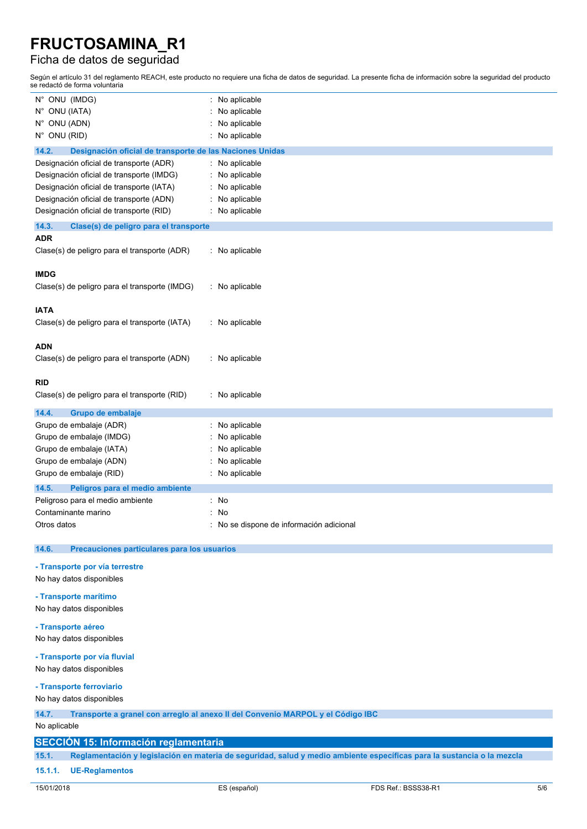### Ficha de datos de seguridad

Según el artículo 31 del reglamento REACH, este producto no requiere una ficha de datos de seguridad. La presente ficha de información sobre la seguridad del producto se redactó de forma voluntaria

| N° ONU (IMDG)                                                     | No aplicable                           |
|-------------------------------------------------------------------|----------------------------------------|
| N° ONU (IATA)                                                     | No aplicable                           |
| N° ONU (ADN)                                                      | No aplicable                           |
| N° ONU (RID)                                                      | No aplicable                           |
| 14.2.<br>Designación oficial de transporte de las Naciones Unidas |                                        |
| Designación oficial de transporte (ADR)                           | : No aplicable                         |
| Designación oficial de transporte (IMDG)                          | No aplicable                           |
|                                                                   |                                        |
| Designación oficial de transporte (IATA)                          | No aplicable                           |
| Designación oficial de transporte (ADN)                           | No aplicable                           |
| Designación oficial de transporte (RID)                           | No aplicable                           |
| 14.3.<br>Clase(s) de peligro para el transporte                   |                                        |
| <b>ADR</b>                                                        |                                        |
| Clase(s) de peligro para el transporte (ADR)                      | : No aplicable                         |
|                                                                   |                                        |
| <b>IMDG</b>                                                       |                                        |
| Clase(s) de peligro para el transporte (IMDG)                     | : No aplicable                         |
|                                                                   |                                        |
| <b>IATA</b>                                                       |                                        |
| Clase(s) de peligro para el transporte (IATA)                     | : No aplicable                         |
|                                                                   |                                        |
| ADN                                                               |                                        |
| Clase(s) de peligro para el transporte (ADN)                      | : No aplicable                         |
|                                                                   |                                        |
| <b>RID</b>                                                        |                                        |
| Clase(s) de peligro para el transporte (RID)                      | : No aplicable                         |
|                                                                   |                                        |
| 14.4.<br>Grupo de embalaje                                        |                                        |
| Grupo de embalaje (ADR)                                           | No aplicable                           |
| Grupo de embalaje (IMDG)                                          | No aplicable                           |
| Grupo de embalaje (IATA)                                          | No aplicable                           |
| Grupo de embalaje (ADN)                                           | No aplicable                           |
| Grupo de embalaje (RID)                                           | No aplicable                           |
| 14.5.<br>Peligros para el medio ambiente                          |                                        |
| Peligroso para el medio ambiente                                  | No<br>t.                               |
| Contaminante marino                                               | No                                     |
| Otros datos                                                       | No se dispone de información adicional |
|                                                                   |                                        |
| 14.6.<br>Precauciones particulares para los usuarios              |                                        |
| - Transporte por vía terrestre                                    |                                        |
| No hay datos disponibles                                          |                                        |
|                                                                   |                                        |
| - Transporte marítimo                                             |                                        |
| No hay datos disponibles                                          |                                        |
| - Transporte aéreo                                                |                                        |
| No hay datos disponibles                                          |                                        |
|                                                                   |                                        |
|                                                                   |                                        |

### **- Transporte por vía fluvial**

No hay datos disponibles

### **- Transporte ferroviario**

No hay datos disponibles

### **14.7. Transporte a granel con arreglo al anexo II del Convenio MARPOL y el Código IBC**

No aplicable

### **SECCIÓN 15: Información reglamentaria**

15.1. Reglamentación y legislación en materia de seguridad, salud y medio ambiente específicas para la sustancia o la mezcla

### **15.1.1. UE-Reglamentos**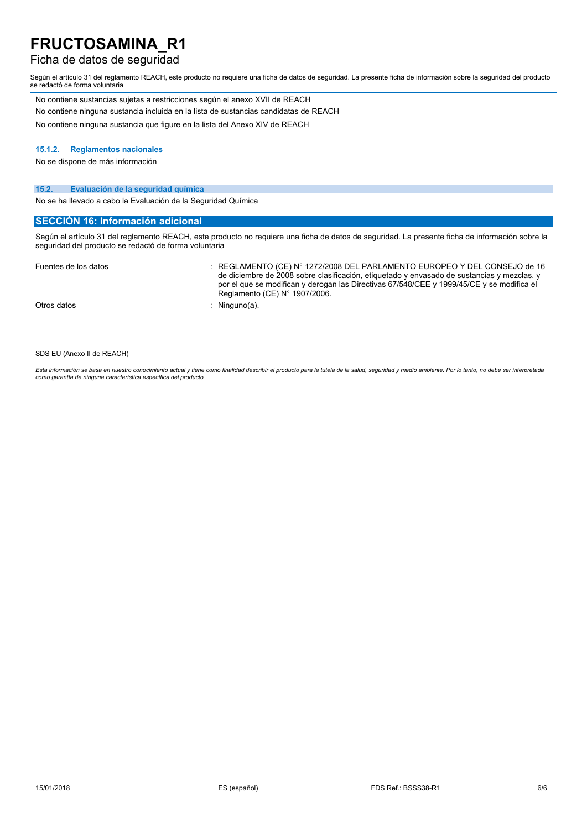### Ficha de datos de seguridad

Según el artículo 31 del reglamento REACH, este producto no requiere una ficha de datos de seguridad. La presente ficha de información sobre la seguridad del producto se redactó de forma voluntaria

No contiene sustancias sujetas a restricciones según el anexo XVII de REACH No contiene ninguna sustancia incluida en la lista de sustancias candidatas de REACH No contiene ninguna sustancia que figure en la lista del Anexo XIV de REACH

#### **15.1.2. Reglamentos nacionales**

No se dispone de más información

#### **15.2. Evaluación de la seguridad química**

No se ha llevado a cabo la Evaluación de la Seguridad Química

#### **SECCIÓN 16: Información adicional**

Según el artículo 31 del reglamento REACH, este producto no requiere una ficha de datos de seguridad. La presente ficha de información sobre la seguridad del producto se redactó de forma voluntaria

| Fuentes de los datos | REGLAMENTO (CE) N° 1272/2008 DEL PARLAMENTO EUROPEO Y DEL CONSEJO de 16<br>de diciembre de 2008 sobre clasificación, etiquetado y envasado de sustancias y mezclas, y<br>por el que se modifican y derogan las Directivas 67/548/CEE y 1999/45/CE y se modifica el<br>Reglamento (CE) N° 1907/2006. |
|----------------------|-----------------------------------------------------------------------------------------------------------------------------------------------------------------------------------------------------------------------------------------------------------------------------------------------------|
| Otros datos          | Ninguno(a).                                                                                                                                                                                                                                                                                         |

SDS EU (Anexo II de REACH)

Esta información se basa en nuestro conocimiento actual y tiene como finalidad describir el producto para la tutela de la salud, seguridad y medio ambiente. Por lo tanto, no debe ser interpretada *como garantía de ninguna característica específica del producto*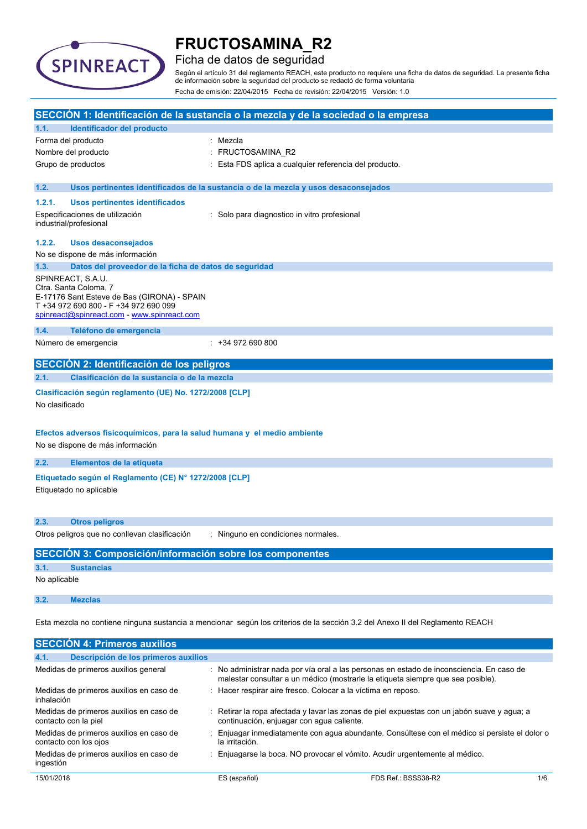

### Ficha de datos de seguridad

Según el artículo 31 del reglamento REACH, este producto no requiere una ficha de datos de seguridad. La presente ficha de información sobre la seguridad del producto se redactó de forma voluntaria Fecha de emisión: 22/04/2015 Fecha de revisión: 22/04/2015 Versión: 1.0

| SECCIÓN 1: Identificación de la sustancia o la mezcla y de la sociedad o la empresa                                           |                                                                                                                                                                                   |                                                                                                                                                                             |
|-------------------------------------------------------------------------------------------------------------------------------|-----------------------------------------------------------------------------------------------------------------------------------------------------------------------------------|-----------------------------------------------------------------------------------------------------------------------------------------------------------------------------|
| 1.1.                                                                                                                          | Identificador del producto                                                                                                                                                        |                                                                                                                                                                             |
|                                                                                                                               | Forma del producto                                                                                                                                                                | : Mezcla                                                                                                                                                                    |
|                                                                                                                               | Nombre del producto                                                                                                                                                               | FRUCTOSAMINA_R2                                                                                                                                                             |
|                                                                                                                               | Grupo de productos                                                                                                                                                                | : Esta FDS aplica a cualquier referencia del producto.                                                                                                                      |
| 1.2.                                                                                                                          |                                                                                                                                                                                   | Usos pertinentes identificados de la sustancia o de la mezcla y usos desaconsejados                                                                                         |
| 1.2.1.                                                                                                                        | Usos pertinentes identificados                                                                                                                                                    |                                                                                                                                                                             |
|                                                                                                                               | Especificaciones de utilización<br>industrial/profesional                                                                                                                         | : Solo para diagnostico in vitro profesional                                                                                                                                |
| 1.2.2.                                                                                                                        | <b>Usos desaconsejados</b>                                                                                                                                                        |                                                                                                                                                                             |
|                                                                                                                               | No se dispone de más información                                                                                                                                                  |                                                                                                                                                                             |
| 1.3.                                                                                                                          | Datos del proveedor de la ficha de datos de seguridad                                                                                                                             |                                                                                                                                                                             |
|                                                                                                                               | SPINREACT, S.A.U.<br>Ctra. Santa Coloma, 7<br>E-17176 Sant Esteve de Bas (GIRONA) - SPAIN<br>T +34 972 690 800 - F +34 972 690 099<br>spinreact@spinreact.com - www.spinreact.com |                                                                                                                                                                             |
| 1.4.                                                                                                                          | Teléfono de emergencia                                                                                                                                                            |                                                                                                                                                                             |
|                                                                                                                               | Número de emergencia                                                                                                                                                              | $: +34972690800$                                                                                                                                                            |
|                                                                                                                               | SECCIÓN 2: Identificación de los peligros                                                                                                                                         |                                                                                                                                                                             |
| 2.1.                                                                                                                          | Clasificación de la sustancia o de la mezcla                                                                                                                                      |                                                                                                                                                                             |
| No clasificado                                                                                                                | Clasificación según reglamento (UE) No. 1272/2008 [CLP]                                                                                                                           |                                                                                                                                                                             |
|                                                                                                                               | Efectos adversos fisicoquímicos, para la salud humana y el medio ambiente<br>No se dispone de más información                                                                     |                                                                                                                                                                             |
| 2.2.                                                                                                                          | Elementos de la etiqueta                                                                                                                                                          |                                                                                                                                                                             |
|                                                                                                                               | Etiquetado según el Reglamento (CE) Nº 1272/2008 [CLP]<br>Etiquetado no aplicable                                                                                                 |                                                                                                                                                                             |
| 2.3.                                                                                                                          | <b>Otros peligros</b>                                                                                                                                                             |                                                                                                                                                                             |
|                                                                                                                               | Otros peligros que no conllevan clasificación                                                                                                                                     | : Ninguno en condiciones normales.                                                                                                                                          |
|                                                                                                                               | SECCIÓN 3: Composición/información sobre los componentes                                                                                                                          |                                                                                                                                                                             |
| 3.1.                                                                                                                          | <b>Sustancias</b>                                                                                                                                                                 |                                                                                                                                                                             |
| No aplicable                                                                                                                  |                                                                                                                                                                                   |                                                                                                                                                                             |
| 3.2.                                                                                                                          | <b>Mezclas</b>                                                                                                                                                                    |                                                                                                                                                                             |
| Esta mezcla no contiene ninguna sustancia a mencionar según los criterios de la sección 3.2 del Anexo II del Reglamento REACH |                                                                                                                                                                                   |                                                                                                                                                                             |
| <b>SECCIÓN 4: Primeros auxilios</b>                                                                                           |                                                                                                                                                                                   |                                                                                                                                                                             |
| 4.1.                                                                                                                          | Descripción de los primeros auxilios                                                                                                                                              |                                                                                                                                                                             |
|                                                                                                                               | Medidas de primeros auxilios general                                                                                                                                              | : No administrar nada por vía oral a las personas en estado de inconsciencia. En caso de<br>malestar consultar a un médico (mostrarle la etiqueta siempre que sea posible). |
| inhalación                                                                                                                    | Medidas de primeros auxilios en caso de                                                                                                                                           | Hacer respirar aire fresco. Colocar a la víctima en reposo.                                                                                                                 |
|                                                                                                                               | Medidas de primeros auxilios en caso de<br>contacto con la piel                                                                                                                   | Retirar la ropa afectada y lavar las zonas de piel expuestas con un jabón suave y agua; a<br>continuación, enjuagar con agua caliente.                                      |

ingestión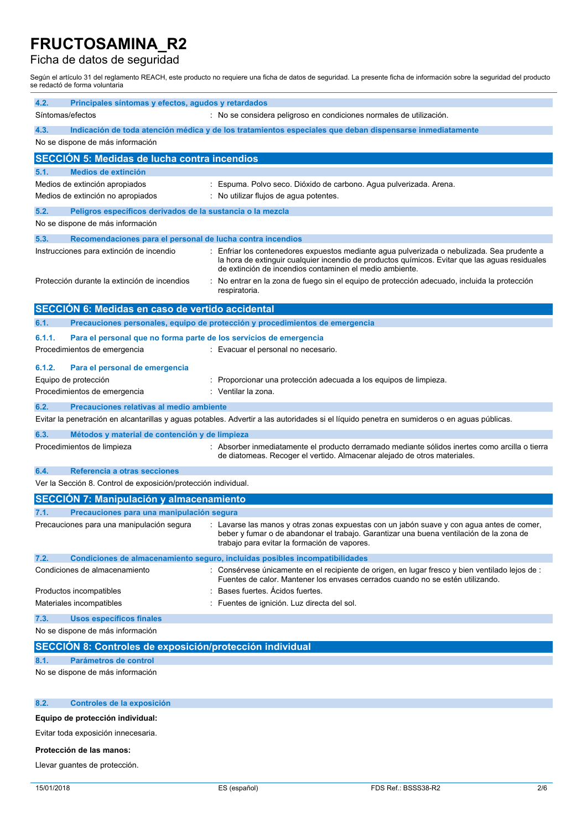### Ficha de datos de seguridad

Según el artículo 31 del reglamento REACH, este producto no requiere una ficha de datos de seguridad. La presente ficha de información sobre la seguridad del producto se redactó de forma voluntaria

| 4.2.<br>Principales síntomas y efectos, agudos y retardados<br>Síntomas/efectos                        | : No se considera peligroso en condiciones normales de utilización.                                                                                                                                                                                    |
|--------------------------------------------------------------------------------------------------------|--------------------------------------------------------------------------------------------------------------------------------------------------------------------------------------------------------------------------------------------------------|
|                                                                                                        |                                                                                                                                                                                                                                                        |
| 4.3.<br>No se dispone de más información                                                               | Indicación de toda atención médica y de los tratamientos especiales que deban dispensarse inmediatamente                                                                                                                                               |
| <b>SECCIÓN 5: Medidas de lucha contra incendios</b>                                                    |                                                                                                                                                                                                                                                        |
| <b>Medios de extinción</b><br>5.1.                                                                     |                                                                                                                                                                                                                                                        |
| Medios de extinción apropiados                                                                         | Espuma. Polvo seco. Dióxido de carbono. Agua pulverizada. Arena.                                                                                                                                                                                       |
| Medios de extinción no apropiados                                                                      | No utilizar flujos de agua potentes.                                                                                                                                                                                                                   |
| 5.2.<br>Peligros específicos derivados de la sustancia o la mezcla<br>No se dispone de más información |                                                                                                                                                                                                                                                        |
| 5.3.<br>Recomendaciones para el personal de lucha contra incendios                                     |                                                                                                                                                                                                                                                        |
| Instrucciones para extinción de incendio                                                               | Enfriar los contenedores expuestos mediante agua pulverizada o nebulizada. Sea prudente a<br>la hora de extinguir cualquier incendio de productos químicos. Evitar que las aguas residuales<br>de extinción de incendios contaminen el medio ambiente. |
| Protección durante la extinción de incendios<br>÷                                                      | No entrar en la zona de fuego sin el equipo de protección adecuado, incluida la protección<br>respiratoria.                                                                                                                                            |
| SECCIÓN 6: Medidas en caso de vertido accidental                                                       |                                                                                                                                                                                                                                                        |
| 6.1.                                                                                                   | Precauciones personales, equipo de protección y procedimientos de emergencia                                                                                                                                                                           |
| 6.1.1.<br>Para el personal que no forma parte de los servicios de emergencia                           |                                                                                                                                                                                                                                                        |
| Procedimientos de emergencia                                                                           | : Evacuar el personal no necesario.                                                                                                                                                                                                                    |
| 6.1.2.<br>Para el personal de emergencia                                                               |                                                                                                                                                                                                                                                        |
| Equipo de protección                                                                                   | Proporcionar una protección adecuada a los equipos de limpieza.                                                                                                                                                                                        |
| Procedimientos de emergencia                                                                           | Ventilar la zona.                                                                                                                                                                                                                                      |
| Precauciones relativas al medio ambiente<br>6.2.                                                       |                                                                                                                                                                                                                                                        |
|                                                                                                        | Evitar la penetración en alcantarillas y aguas potables. Advertir a las autoridades si el líquido penetra en sumideros o en aguas públicas.                                                                                                            |
| 6.3.<br>Métodos y material de contención y de limpieza                                                 |                                                                                                                                                                                                                                                        |
| Procedimientos de limpieza                                                                             | : Absorber inmediatamente el producto derramado mediante sólidos inertes como arcilla o tierra<br>de diatomeas. Recoger el vertido. Almacenar alejado de otros materiales.                                                                             |
| Referencia a otras secciones<br>6.4.                                                                   |                                                                                                                                                                                                                                                        |
| Ver la Sección 8. Control de exposición/protección individual.                                         |                                                                                                                                                                                                                                                        |
| <b>SECCIÓN 7: Manipulación y almacenamiento</b>                                                        |                                                                                                                                                                                                                                                        |
| Precauciones para una manipulación segura<br>7.1.                                                      |                                                                                                                                                                                                                                                        |
| Precauciones para una manipulación segura                                                              | : Lavarse las manos y otras zonas expuestas con un jabón suave y con agua antes de comer,<br>beber y fumar o de abandonar el trabajo. Garantizar una buena ventilación de la zona de<br>trabajo para evitar la formación de vapores.                   |
| 7.2.                                                                                                   | Condiciones de almacenamiento seguro, incluidas posibles incompatibilidades                                                                                                                                                                            |
| Condiciones de almacenamiento                                                                          | : Consérvese únicamente en el recipiente de origen, en lugar fresco y bien ventilado lejos de :<br>Fuentes de calor. Mantener los envases cerrados cuando no se estén utilizando.                                                                      |
| Productos incompatibles                                                                                | Bases fuertes. Acidos fuertes.                                                                                                                                                                                                                         |
| Materiales incompatibles                                                                               | Fuentes de ignición. Luz directa del sol.                                                                                                                                                                                                              |
| 7.3.<br>Usos específicos finales                                                                       |                                                                                                                                                                                                                                                        |
| No se dispone de más información                                                                       |                                                                                                                                                                                                                                                        |
| SECCIÓN 8: Controles de exposición/protección individual                                               |                                                                                                                                                                                                                                                        |
| Parámetros de control<br>8.1.                                                                          |                                                                                                                                                                                                                                                        |
| No se dispone de más información                                                                       |                                                                                                                                                                                                                                                        |
| 8.2.<br>Controles de la exposición                                                                     |                                                                                                                                                                                                                                                        |
| Equipo de protección individual:                                                                       |                                                                                                                                                                                                                                                        |

Evitar toda exposición innecesaria.

#### **Protección de las manos:**

Llevar guantes de protección.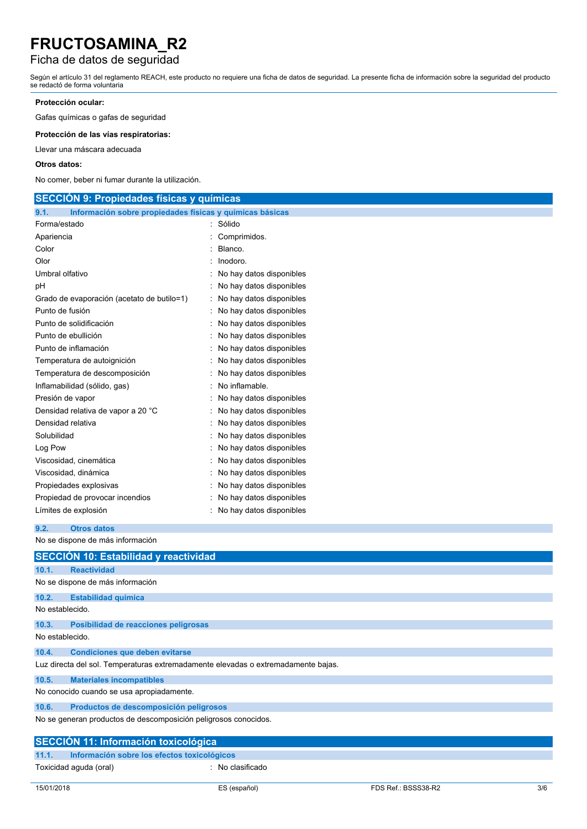### Ficha de datos de seguridad

Según el artículo 31 del reglamento REACH, este producto no requiere una ficha de datos de seguridad. La presente ficha de información sobre la seguridad del producto se redactó de forma voluntaria

### **Protección ocular:**

Gafas químicas o gafas de seguridad

**Protección de las vías respiratorias:**

Llevar una máscara adecuada

#### **Otros datos:**

No comer, beber ni fumar durante la utilización.

| <b>SECCION 9: Propiedades físicas y químicas</b>                 |                            |  |  |
|------------------------------------------------------------------|----------------------------|--|--|
| Información sobre propiedades físicas y químicas básicas<br>9.1. |                            |  |  |
| Forma/estado                                                     | Sólido                     |  |  |
| Apariencia                                                       | Comprimidos.               |  |  |
| Color                                                            | Blanco.                    |  |  |
| Olor                                                             | Inodoro.                   |  |  |
| Umbral olfativo                                                  | No hay datos disponibles   |  |  |
| рH                                                               | No hay datos disponibles   |  |  |
| Grado de evaporación (acetato de butilo=1)                       | No hay datos disponibles   |  |  |
| Punto de fusión                                                  | No hay datos disponibles   |  |  |
| Punto de solidificación                                          | : No hay datos disponibles |  |  |
| Punto de ebullición                                              | : No hay datos disponibles |  |  |
| Punto de inflamación                                             | No hay datos disponibles   |  |  |
| Temperatura de autoignición                                      | No hay datos disponibles   |  |  |
| Temperatura de descomposición                                    | No hay datos disponibles   |  |  |
| Inflamabilidad (sólido, gas)                                     | No inflamable.             |  |  |
| Presión de vapor                                                 | No hay datos disponibles   |  |  |
| Densidad relativa de vapor a 20 °C                               | : No hay datos disponibles |  |  |
| Densidad relativa                                                | : No hay datos disponibles |  |  |
| Solubilidad                                                      | No hay datos disponibles   |  |  |
| Log Pow                                                          | No hay datos disponibles   |  |  |
| Viscosidad, cinemática                                           | No hay datos disponibles   |  |  |
| Viscosidad, dinámica                                             | No hay datos disponibles   |  |  |
| Propiedades explosivas                                           | No hay datos disponibles   |  |  |
| Propiedad de provocar incendios                                  | : No hay datos disponibles |  |  |
| Límites de explosión                                             | : No hay datos disponibles |  |  |
|                                                                  |                            |  |  |

### **9.2. Otros datos**

No se dispone de más información

|                 | SECCIÓN 10: Estabilidad y reactividad                                             |                  |
|-----------------|-----------------------------------------------------------------------------------|------------------|
| 10.1.           | <b>Reactividad</b>                                                                |                  |
|                 | No se dispone de más información                                                  |                  |
| 10.2.           | <b>Estabilidad química</b>                                                        |                  |
| No establecido. |                                                                                   |                  |
| 10.3.           | Posibilidad de reacciones peligrosas                                              |                  |
| No establecido. |                                                                                   |                  |
| 10.4.           | <b>Condiciones que deben evitarse</b>                                             |                  |
|                 | Luz directa del sol. Temperaturas extremadamente elevadas o extremadamente bajas. |                  |
| 10.5.           | <b>Materiales incompatibles</b>                                                   |                  |
|                 | No conocido cuando se usa apropiadamente.                                         |                  |
| 10.6.           | Productos de descomposición peligrosos                                            |                  |
|                 | No se generan productos de descomposición peligrosos conocidos.                   |                  |
|                 | SECCIÓN 11: Información toxicológica                                              |                  |
| 11.1.           | Información sobre los efectos toxicológicos                                       |                  |
|                 | Toxicidad aguda (oral)                                                            | : No clasificado |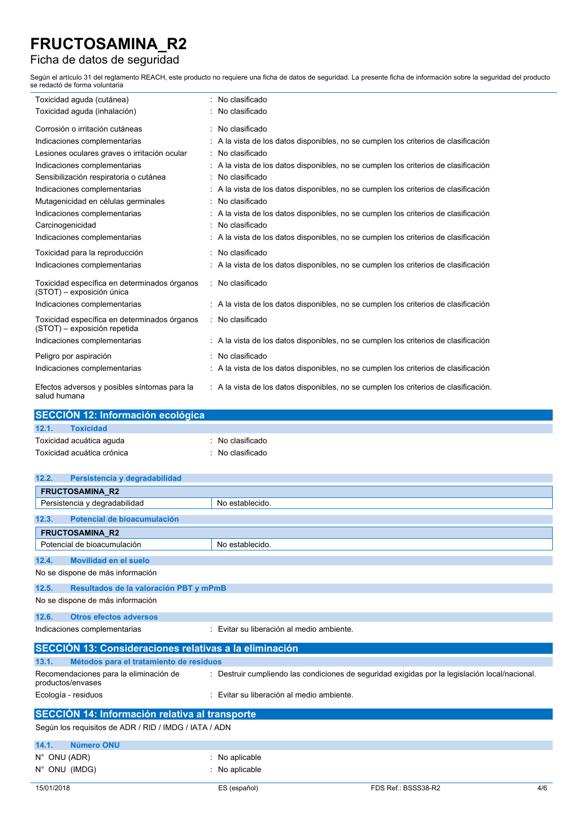## Ficha de datos de seguridad

÷

Según el artículo 31 del reglamento REACH, este producto no requiere una ficha de datos de seguridad. La presente ficha de información sobre la seguridad del producto se redactó de forma voluntaria

| Toxicidad aguda (cutánea)                                                    | No clasificado                                                                       |
|------------------------------------------------------------------------------|--------------------------------------------------------------------------------------|
| Toxicidad aguda (inhalación)                                                 | No clasificado                                                                       |
| Corrosión o irritación cutáneas                                              | : No clasificado                                                                     |
| Indicaciones complementarias                                                 | : A la vista de los datos disponibles, no se cumplen los criterios de clasificación  |
| Lesiones oculares graves o irritación ocular                                 | : No clasificado                                                                     |
| Indicaciones complementarias                                                 | : A la vista de los datos disponibles, no se cumplen los criterios de clasificación  |
| Sensibilización respiratoria o cutánea                                       | : No clasificado                                                                     |
| Indicaciones complementarias                                                 | : A la vista de los datos disponibles, no se cumplen los criterios de clasificación  |
| Mutagenicidad en células germinales                                          | : No clasificado                                                                     |
| Indicaciones complementarias                                                 | A la vista de los datos disponibles, no se cumplen los criterios de clasificación    |
| Carcinogenicidad                                                             | : No clasificado                                                                     |
| Indicaciones complementarias                                                 | : A la vista de los datos disponibles, no se cumplen los criterios de clasificación  |
| Toxicidad para la reproducción                                               | : No clasificado                                                                     |
| Indicaciones complementarias                                                 | : A la vista de los datos disponibles, no se cumplen los criterios de clasificación  |
| Toxicidad específica en determinados órganos<br>(STOT) - exposición única    | : No clasificado                                                                     |
| Indicaciones complementarias                                                 | : A la vista de los datos disponibles, no se cumplen los criterios de clasificación  |
| Toxicidad específica en determinados órganos<br>(STOT) - exposición repetida | : No clasificado                                                                     |
| Indicaciones complementarias                                                 | : A la vista de los datos disponibles, no se cumplen los criterios de clasificación  |
| Peligro por aspiración                                                       | : No clasificado                                                                     |
| Indicaciones complementarias                                                 | : A la vista de los datos disponibles, no se cumplen los criterios de clasificación  |
| Efectos adversos y posibles síntomas para la<br>salud humana                 | : A la vista de los datos disponibles, no se cumplen los criterios de clasificación. |

| SECCIÓN 12: Información ecológica |                            |  |                  |  |
|-----------------------------------|----------------------------|--|------------------|--|
| 12.1.                             | <b>Toxicidad</b>           |  |                  |  |
|                                   | Toxicidad acuática aguda   |  | No clasificado   |  |
|                                   | Toxicidad acuática crónica |  | : No clasificado |  |

| 12.2.<br>Persistencia y degradabilidad                        |                                                                                                |
|---------------------------------------------------------------|------------------------------------------------------------------------------------------------|
| <b>FRUCTOSAMINA R2</b>                                        |                                                                                                |
| Persistencia y degradabilidad                                 | No establecido.                                                                                |
| Potencial de bioacumulación<br>12.3.                          |                                                                                                |
| <b>FRUCTOSAMINA R2</b>                                        |                                                                                                |
| Potencial de bioacumulación                                   | No establecido.                                                                                |
| Movilidad en el suelo<br>12.4.                                |                                                                                                |
| No se dispone de más información                              |                                                                                                |
| 12.5.<br>Resultados de la valoración PBT y mPmB               |                                                                                                |
| No se dispone de más información                              |                                                                                                |
| 12.6.<br><b>Otros efectos adversos</b>                        |                                                                                                |
| Indicaciones complementarias                                  | : Evitar su liberación al medio ambiente.                                                      |
| <b>SECCIÓN 13: Consideraciones relativas a la eliminación</b> |                                                                                                |
| 13.1.<br>Métodos para el tratamiento de residuos              |                                                                                                |
| Recomendaciones para la eliminación de<br>productos/envases   | : Destruir cumpliendo las condiciones de seguridad exigidas por la legislación local/nacional. |
| Ecología - residuos                                           | Evitar su liberación al medio ambiente.                                                        |
| <b>SECCIÓN 14: Información relativa al transporte</b>         |                                                                                                |
| Según los requisitos de ADR / RID / IMDG / IATA / ADN         |                                                                                                |
| 14.1.<br><b>Número ONU</b>                                    |                                                                                                |

| $N^{\circ}$ ONU (ADR)<br>$N^{\circ}$ ONU (IMDG) | $\therefore$ No aplicable<br>$:$ No aplicable |                     |     |
|-------------------------------------------------|-----------------------------------------------|---------------------|-----|
| 15/01/2018                                      | ES (español)                                  | FDS Ref.: BSSS38-R2 | 4/6 |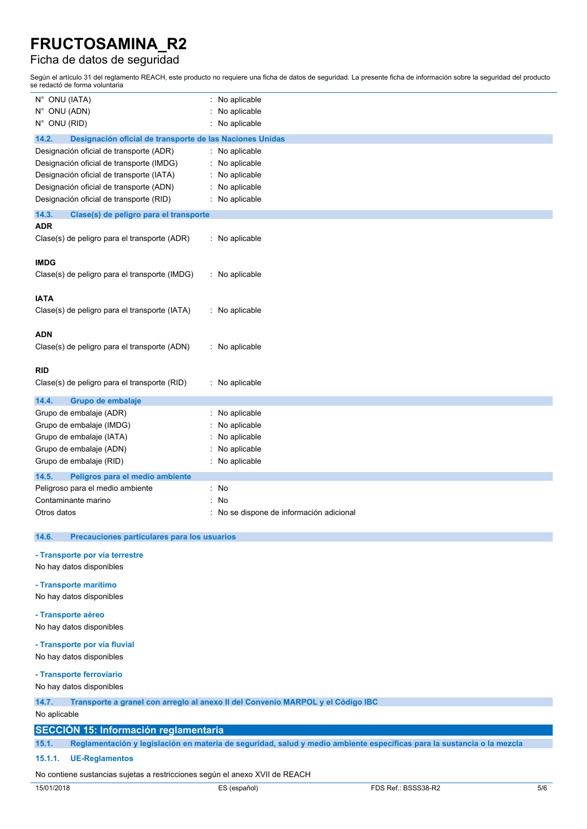### Ficha de datos de seguridad

Según el artículo 31 del reglamento REACH, este producto no requiere una ficha de datos de seguridad. La presente ficha de información sobre la seguridad del producto se redactó de forma voluntaria

| N° ONU (IATA)                                                               | No aplicable                                                                                                           |
|-----------------------------------------------------------------------------|------------------------------------------------------------------------------------------------------------------------|
| N° ONU (ADN)                                                                | No aplicable                                                                                                           |
| N° ONU (RID)                                                                | No aplicable                                                                                                           |
| 14.2.<br>Designación oficial de transporte de las Naciones Unidas           |                                                                                                                        |
| Designación oficial de transporte (ADR)                                     | : No aplicable                                                                                                         |
| Designación oficial de transporte (IMDG)                                    | No aplicable                                                                                                           |
| Designación oficial de transporte (IATA)                                    | No aplicable                                                                                                           |
| Designación oficial de transporte (ADN)                                     | No aplicable                                                                                                           |
| Designación oficial de transporte (RID)                                     | No aplicable                                                                                                           |
| 14.3.<br>Clase(s) de peligro para el transporte                             |                                                                                                                        |
| ADR                                                                         |                                                                                                                        |
| Clase(s) de peligro para el transporte (ADR)                                | No aplicable                                                                                                           |
| <b>IMDG</b>                                                                 |                                                                                                                        |
| Clase(s) de peligro para el transporte (IMDG)                               | No aplicable                                                                                                           |
|                                                                             |                                                                                                                        |
| <b>IATA</b>                                                                 |                                                                                                                        |
| Clase(s) de peligro para el transporte (IATA)                               | : No aplicable                                                                                                         |
|                                                                             |                                                                                                                        |
| <b>ADN</b>                                                                  |                                                                                                                        |
| Clase(s) de peligro para el transporte (ADN)                                | No aplicable                                                                                                           |
|                                                                             |                                                                                                                        |
| RID                                                                         |                                                                                                                        |
| Clase(s) de peligro para el transporte (RID)                                | : No aplicable                                                                                                         |
| 14.4.<br>Grupo de embalaje                                                  |                                                                                                                        |
| Grupo de embalaje (ADR)                                                     | No aplicable                                                                                                           |
| Grupo de embalaje (IMDG)                                                    | No aplicable                                                                                                           |
| Grupo de embalaje (IATA)                                                    | No aplicable                                                                                                           |
| Grupo de embalaje (ADN)                                                     | No aplicable                                                                                                           |
| Grupo de embalaje (RID)                                                     | No aplicable                                                                                                           |
| 14.5.<br>Peligros para el medio ambiente                                    |                                                                                                                        |
| Peligroso para el medio ambiente                                            | No                                                                                                                     |
| Contaminante marino                                                         | No                                                                                                                     |
| Otros datos                                                                 | No se dispone de información adicional                                                                                 |
| 14.6.<br>Precauciones particulares para los usuarios                        |                                                                                                                        |
|                                                                             |                                                                                                                        |
| - Transporte por vía terrestre                                              |                                                                                                                        |
| No hay datos disponibles                                                    |                                                                                                                        |
| - Transporte marítimo                                                       |                                                                                                                        |
| No hay datos disponibles                                                    |                                                                                                                        |
| - Transporte aéreo                                                          |                                                                                                                        |
| No hay datos disponibles                                                    |                                                                                                                        |
|                                                                             |                                                                                                                        |
| - Transporte por vía fluvial                                                |                                                                                                                        |
| No hay datos disponibles                                                    |                                                                                                                        |
| - Transporte ferroviario                                                    |                                                                                                                        |
| No hay datos disponibles                                                    |                                                                                                                        |
| 14.7.                                                                       | Transporte a granel con arregio al anexo II del Convenio MARPOL y el Código IBC                                        |
| No aplicable                                                                |                                                                                                                        |
| <b>SECCIÓN 15: Información reglamentaria</b>                                |                                                                                                                        |
| 15.1.                                                                       | Reglamentación y legislación en materia de seguridad, salud y medio ambiente específicas para la sustancia o la mezcla |
| 15.1.1.<br><b>UE-Reglamentos</b>                                            |                                                                                                                        |
| No contiene sustancias sujetas a restricciones según el anexo XVII de REACH |                                                                                                                        |
|                                                                             |                                                                                                                        |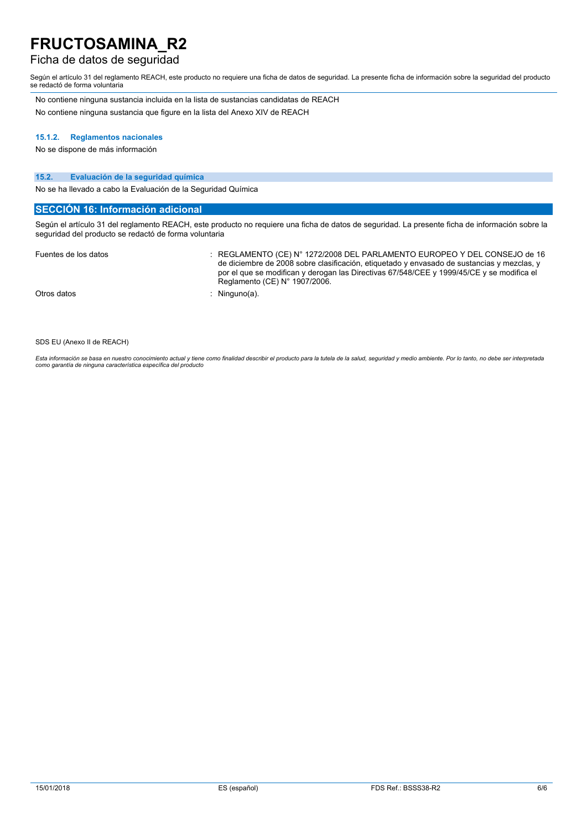### Ficha de datos de seguridad

Según el artículo 31 del reglamento REACH, este producto no requiere una ficha de datos de seguridad. La presente ficha de información sobre la seguridad del producto se redactó de forma voluntaria

No contiene ninguna sustancia incluida en la lista de sustancias candidatas de REACH No contiene ninguna sustancia que figure en la lista del Anexo XIV de REACH

#### **15.1.2. Reglamentos nacionales**

No se dispone de más información

#### **15.2. Evaluación de la seguridad química**

No se ha llevado a cabo la Evaluación de la Seguridad Química

### **SECCIÓN 16: Información adicional**

Según el artículo 31 del reglamento REACH, este producto no requiere una ficha de datos de seguridad. La presente ficha de información sobre la seguridad del producto se redactó de forma voluntaria

| Fuentes de los datos | REGLAMENTO (CE) N° 1272/2008 DEL PARLAMENTO EUROPEO Y DEL CONSEJO de 16<br>de diciembre de 2008 sobre clasificación, etiquetado y envasado de sustancias y mezclas, y<br>por el que se modifican y derogan las Directivas 67/548/CEE y 1999/45/CE y se modifica el<br>Reglamento (CE) $N^{\circ}$ 1907/2006. |
|----------------------|--------------------------------------------------------------------------------------------------------------------------------------------------------------------------------------------------------------------------------------------------------------------------------------------------------------|
| Otros datos          | Ninguno(a).                                                                                                                                                                                                                                                                                                  |

SDS EU (Anexo II de REACH)

Esta información se basa en nuestro conocimiento actual y tiene como finalidad describir el producto para la tutela de la salud, seguridad y medio ambiente. Por lo tanto, no debe ser interpretada<br>como garantía de ninguna c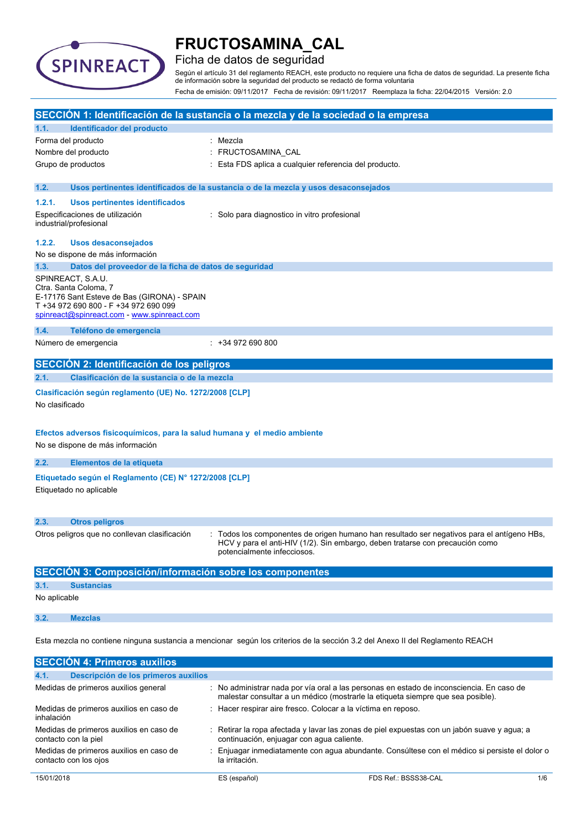

### Ficha de datos de seguridad

Según el artículo 31 del reglamento REACH, este producto no requiere una ficha de datos de seguridad. La presente ficha de información sobre la seguridad del producto se redactó de forma voluntaria Fecha de emisión: 09/11/2017 Fecha de revisión: 09/11/2017 Reemplaza la ficha: 22/04/2015 Versión: 2.0

| SECCIÓN 1: Identificación de la sustancia o la mezcla y de la sociedad o la empresa                                                                                                                                                                       |  |  |  |  |
|-----------------------------------------------------------------------------------------------------------------------------------------------------------------------------------------------------------------------------------------------------------|--|--|--|--|
| Identificador del producto<br>1.1.                                                                                                                                                                                                                        |  |  |  |  |
| Forma del producto<br>Mezcla                                                                                                                                                                                                                              |  |  |  |  |
| FRUCTOSAMINA_CAL<br>Nombre del producto                                                                                                                                                                                                                   |  |  |  |  |
| Grupo de productos<br>Esta FDS aplica a cualquier referencia del producto.                                                                                                                                                                                |  |  |  |  |
| 1.2.<br>Usos pertinentes identificados de la sustancia o de la mezcla y usos desaconsejados                                                                                                                                                               |  |  |  |  |
| 1.2.1.<br><b>Usos pertinentes identificados</b>                                                                                                                                                                                                           |  |  |  |  |
| Especificaciones de utilización<br>: Solo para diagnostico in vitro profesional<br>industrial/profesional                                                                                                                                                 |  |  |  |  |
| 1.2.2.<br><b>Usos desaconsejados</b>                                                                                                                                                                                                                      |  |  |  |  |
| No se dispone de más información                                                                                                                                                                                                                          |  |  |  |  |
| 1.3.<br>Datos del proveedor de la ficha de datos de seguridad                                                                                                                                                                                             |  |  |  |  |
| SPINREACT, S.A.U.<br>Ctra. Santa Coloma, 7<br>E-17176 Sant Esteve de Bas (GIRONA) - SPAIN<br>T +34 972 690 800 - F +34 972 690 099<br>spinreact@spinreact.com - www.spinreact.com                                                                         |  |  |  |  |
| Teléfono de emergencia<br>1.4.                                                                                                                                                                                                                            |  |  |  |  |
| Número de emergencia<br>$: +34972690800$                                                                                                                                                                                                                  |  |  |  |  |
| SECCIÓN 2: Identificación de los peligros                                                                                                                                                                                                                 |  |  |  |  |
| 2.1.<br>Clasificación de la sustancia o de la mezcla                                                                                                                                                                                                      |  |  |  |  |
| Clasificación según reglamento (UE) No. 1272/2008 [CLP]<br>No clasificado<br>Efectos adversos fisicoquímicos, para la salud humana y el medio ambiente<br>No se dispone de más información                                                                |  |  |  |  |
| 2.2.<br>Elementos de la etiqueta                                                                                                                                                                                                                          |  |  |  |  |
| Etiquetado según el Reglamento (CE) Nº 1272/2008 [CLP]<br>Etiquetado no aplicable                                                                                                                                                                         |  |  |  |  |
| 2.3.<br><b>Otros peligros</b>                                                                                                                                                                                                                             |  |  |  |  |
| Otros peligros que no conllevan clasificación<br>Todos los componentes de origen humano han resultado ser negativos para el antígeno HBs,<br>HCV y para el anti-HIV (1/2). Sin embargo, deben tratarse con precaución como<br>potencialmente infecciosos. |  |  |  |  |
| SECCIÓN 3: Composición/información sobre los componentes                                                                                                                                                                                                  |  |  |  |  |
| 3.1.<br><b>Sustancias</b>                                                                                                                                                                                                                                 |  |  |  |  |
| No aplicable                                                                                                                                                                                                                                              |  |  |  |  |
| 3.2.<br><b>Mezclas</b>                                                                                                                                                                                                                                    |  |  |  |  |
| Esta mezcla no contiene ninguna sustancia a mencionar según los criterios de la sección 3.2 del Anexo II del Reglamento REACH                                                                                                                             |  |  |  |  |
| <b>SECCIÓN 4: Primeros auxilios</b>                                                                                                                                                                                                                       |  |  |  |  |

| 4.1.       | Descripción de los primeros auxilios                             |                                                                                 |                                                                                             |  |
|------------|------------------------------------------------------------------|---------------------------------------------------------------------------------|---------------------------------------------------------------------------------------------|--|
|            | Medidas de primeros auxilios general                             | malestar consultar a un médico (mostrarle la etiqueta siempre que sea posible). | : No administrar nada por vía oral a las personas en estado de inconsciencia. En caso de    |  |
| inhalación | Medidas de primeros auxilios en caso de                          | Hacer respirar aire fresco. Colocar a la víctima en reposo.                     |                                                                                             |  |
|            | Medidas de primeros auxilios en caso de<br>contacto con la piel  | continuación, enjuagar con agua caliente.                                       | : Retirar la ropa afectada y lavar las zonas de piel expuestas con un jabón suave y agua; a |  |
|            | Medidas de primeros auxilios en caso de<br>contacto con los ojos | la irritación.                                                                  | Enjuagar inmediatamente con agua abundante. Consúltese con el médico si persiste el dolor o |  |
| 15/01/2018 |                                                                  | ES (español)                                                                    | FDS Ref.: BSSS38-CAL<br>1/6                                                                 |  |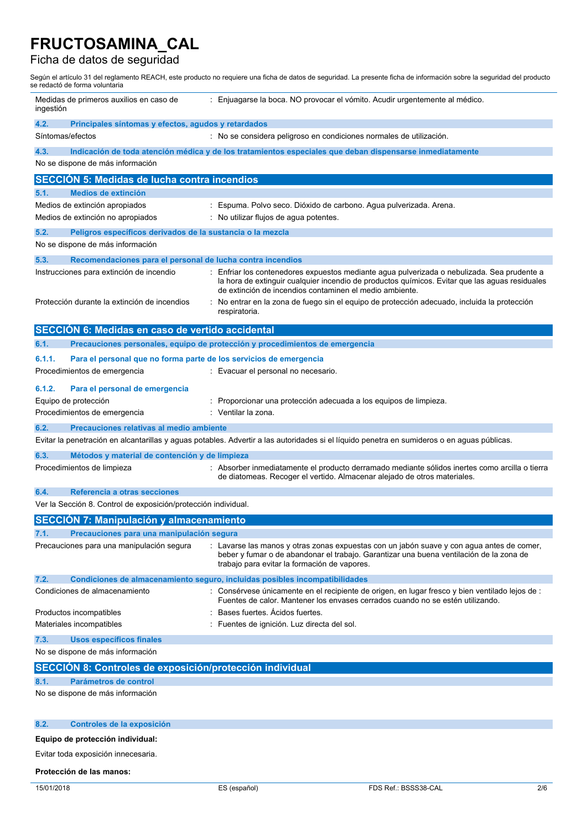### Ficha de datos de seguridad

Según el artículo 31 del reglamento REACH, este producto no requiere una ficha de datos de seguridad. La presente ficha de información sobre la seguridad del producto se redactó de forma voluntaria

| Medidas de primeros auxilios en caso de<br>ingestión                                 | : Enjuagarse la boca. NO provocar el vómito. Acudir urgentemente al médico.                                                                                                                                                                            |
|--------------------------------------------------------------------------------------|--------------------------------------------------------------------------------------------------------------------------------------------------------------------------------------------------------------------------------------------------------|
| 4.2.<br>Principales síntomas y efectos, agudos y retardados                          |                                                                                                                                                                                                                                                        |
| Síntomas/efectos                                                                     | : No se considera peligroso en condiciones normales de utilización.                                                                                                                                                                                    |
| 4.3.<br>No se dispone de más información                                             | Indicación de toda atención médica y de los tratamientos especiales que deban dispensarse inmediatamente                                                                                                                                               |
| <b>SECCIÓN 5: Medidas de lucha contra incendios</b>                                  |                                                                                                                                                                                                                                                        |
| <b>Medios de extinción</b><br>5.1.                                                   |                                                                                                                                                                                                                                                        |
| Medios de extinción apropiados                                                       | Espuma. Polvo seco. Dióxido de carbono. Agua pulverizada. Arena.                                                                                                                                                                                       |
| Medios de extinción no apropiados                                                    | No utilizar flujos de agua potentes.                                                                                                                                                                                                                   |
| 5.2.<br>Peligros específicos derivados de la sustancia o la mezcla                   |                                                                                                                                                                                                                                                        |
| No se dispone de más información                                                     |                                                                                                                                                                                                                                                        |
| Recomendaciones para el personal de lucha contra incendios<br>5.3.                   |                                                                                                                                                                                                                                                        |
| Instrucciones para extinción de incendio                                             | Enfriar los contenedores expuestos mediante agua pulverizada o nebulizada. Sea prudente a<br>la hora de extinguir cualquier incendio de productos químicos. Evitar que las aguas residuales<br>de extinción de incendios contaminen el medio ambiente. |
| Protección durante la extinción de incendios                                         | No entrar en la zona de fuego sin el equipo de protección adecuado, incluida la protección<br>respiratoria.                                                                                                                                            |
| SECCIÓN 6: Medidas en caso de vertido accidental                                     |                                                                                                                                                                                                                                                        |
| 6.1.                                                                                 | Precauciones personales, equipo de protección y procedimientos de emergencia                                                                                                                                                                           |
| 6.1.1.<br>Para el personal que no forma parte de los servicios de emergencia         |                                                                                                                                                                                                                                                        |
| Procedimientos de emergencia                                                         | : Evacuar el personal no necesario.                                                                                                                                                                                                                    |
| 6.1.2.<br>Para el personal de emergencia                                             |                                                                                                                                                                                                                                                        |
| Equipo de protección                                                                 | Proporcionar una protección adecuada a los equipos de limpieza.                                                                                                                                                                                        |
| Procedimientos de emergencia                                                         | Ventilar la zona.                                                                                                                                                                                                                                      |
| 6.2.<br>Precauciones relativas al medio ambiente                                     | Evitar la penetración en alcantarillas y aguas potables. Advertir a las autoridades si el líquido penetra en sumideros o en aguas públicas.                                                                                                            |
|                                                                                      |                                                                                                                                                                                                                                                        |
| 6.3.<br>Métodos y material de contención y de limpieza<br>Procedimientos de limpieza | : Absorber inmediatamente el producto derramado mediante sólidos inertes como arcilla o tierra<br>de diatomeas. Recoger el vertido. Almacenar alejado de otros materiales.                                                                             |
| Referencia a otras secciones<br>6.4.                                                 |                                                                                                                                                                                                                                                        |
| Ver la Sección 8. Control de exposición/protección individual.                       |                                                                                                                                                                                                                                                        |
| <b>SECCIÓN 7: Manipulación y almacenamiento</b>                                      |                                                                                                                                                                                                                                                        |
| Precauciones para una manipulación segura<br>7.1.                                    |                                                                                                                                                                                                                                                        |
| Precauciones para una manipulación segura                                            | : Lavarse las manos y otras zonas expuestas con un jabón suave y con agua antes de comer,<br>beber y fumar o de abandonar el trabajo. Garantizar una buena ventilación de la zona de<br>trabajo para evitar la formación de vapores.                   |
| 7.2.                                                                                 | Condiciones de almacenamiento seguro, incluidas posibles incompatibilidades                                                                                                                                                                            |
| Condiciones de almacenamiento                                                        | : Consérvese únicamente en el recipiente de origen, en lugar fresco y bien ventilado lejos de :<br>Fuentes de calor. Mantener los envases cerrados cuando no se estén utilizando.                                                                      |
| Productos incompatibles                                                              | Bases fuertes. Acidos fuertes.                                                                                                                                                                                                                         |
| Materiales incompatibles                                                             | Fuentes de ignición. Luz directa del sol.                                                                                                                                                                                                              |
| 7.3.<br><b>Usos específicos finales</b>                                              |                                                                                                                                                                                                                                                        |
| No se dispone de más información                                                     |                                                                                                                                                                                                                                                        |
| SECCIÓN 8: Controles de exposición/protección individual                             |                                                                                                                                                                                                                                                        |
| Parámetros de control<br>8.1.                                                        |                                                                                                                                                                                                                                                        |
| No se dispone de más información                                                     |                                                                                                                                                                                                                                                        |
| 8.2.<br>Controles de la exposición                                                   |                                                                                                                                                                                                                                                        |
| Equipo de protección individual:                                                     |                                                                                                                                                                                                                                                        |
|                                                                                      |                                                                                                                                                                                                                                                        |
| Evitar toda exposición innecesaria.                                                  |                                                                                                                                                                                                                                                        |

### **Protección de las manos:**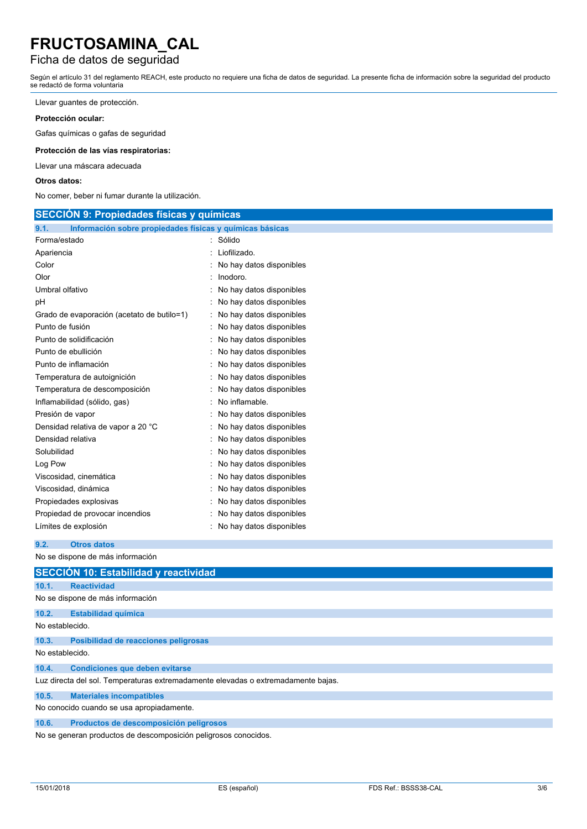### Ficha de datos de seguridad

Según el artículo 31 del reglamento REACH, este producto no requiere una ficha de datos de seguridad. La presente ficha de información sobre la seguridad del producto se redactó de forma voluntaria

Llevar guantes de protección.

#### **Protección ocular:**

Gafas químicas o gafas de seguridad

#### **Protección de las vías respiratorias:**

Llevar una máscara adecuada

#### **Otros datos:**

No comer, beber ni fumar durante la utilización.

| <b>SECCIÓN 9: Propiedades físicas y químicas</b>                 |                          |  |  |  |
|------------------------------------------------------------------|--------------------------|--|--|--|
| Información sobre propiedades físicas y químicas básicas<br>9.1. |                          |  |  |  |
| Forma/estado                                                     | : Sólido                 |  |  |  |
| Apariencia                                                       | Liofilizado.             |  |  |  |
| Color                                                            | No hay datos disponibles |  |  |  |
| Olor                                                             | Inodoro.                 |  |  |  |
| Umbral olfativo                                                  | No hay datos disponibles |  |  |  |
| рH                                                               | No hay datos disponibles |  |  |  |
| Grado de evaporación (acetato de butilo=1)                       | No hay datos disponibles |  |  |  |
| Punto de fusión                                                  | No hay datos disponibles |  |  |  |
| Punto de solidificación                                          | No hay datos disponibles |  |  |  |
| Punto de ebullición                                              | No hay datos disponibles |  |  |  |
| Punto de inflamación                                             | No hay datos disponibles |  |  |  |
| Temperatura de autoignición                                      | No hay datos disponibles |  |  |  |
| Temperatura de descomposición<br>No hay datos disponibles        |                          |  |  |  |
| No inflamable.<br>Inflamabilidad (sólido, gas)                   |                          |  |  |  |
| Presión de vapor<br>No hay datos disponibles                     |                          |  |  |  |
| Densidad relativa de vapor a 20 °C<br>No hay datos disponibles   |                          |  |  |  |
| Densidad relativa<br>No hay datos disponibles                    |                          |  |  |  |
| Solubilidad<br>No hay datos disponibles                          |                          |  |  |  |
| Log Pow<br>No hay datos disponibles                              |                          |  |  |  |
| Viscosidad, cinemática<br>No hay datos disponibles               |                          |  |  |  |
| Viscosidad, dinámica<br>No hay datos disponibles                 |                          |  |  |  |
| No hay datos disponibles<br>Propiedades explosivas               |                          |  |  |  |
| Propiedad de provocar incendios<br>No hay datos disponibles      |                          |  |  |  |
| Límites de explosión<br>No hay datos disponibles                 |                          |  |  |  |
| <b>Otros datos</b><br>9.2.                                       |                          |  |  |  |
| No se dispone de más información                                 |                          |  |  |  |
| <b>SECCION 10: Estabilidad y reactividad</b>                     |                          |  |  |  |
| <b>Reactividad</b><br>10.1.                                      |                          |  |  |  |
| No se dispone de más información                                 |                          |  |  |  |
| 10.2.<br><b>Estabilidad química</b>                              |                          |  |  |  |
| No establecido.                                                  |                          |  |  |  |
| 10.3.<br>Posibilidad de reacciones peligrosas                    |                          |  |  |  |
| No establecido.                                                  |                          |  |  |  |

#### **10.4. Condiciones que deben evitarse**

Luz directa del sol. Temperaturas extremadamente elevadas o extremadamente bajas.

**10.5. Materiales incompatibles**

No conocido cuando se usa apropiadamente.

#### **10.6. Productos de descomposición peligrosos**

No se generan productos de descomposición peligrosos conocidos.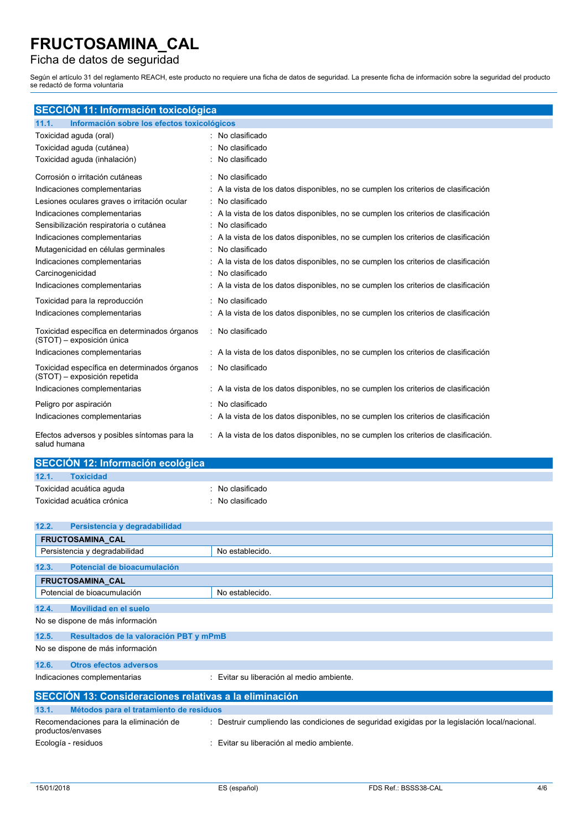### Ficha de datos de seguridad

Según el artículo 31 del reglamento REACH, este producto no requiere una ficha de datos de seguridad. La presente ficha de información sobre la seguridad del producto se redactó de forma voluntaria

| SECCIÓN 11: Información toxicológica                                         |  |                                                                                      |  |  |
|------------------------------------------------------------------------------|--|--------------------------------------------------------------------------------------|--|--|
| Información sobre los efectos toxicológicos<br>11.1.                         |  |                                                                                      |  |  |
| Toxicidad aguda (oral)                                                       |  | : No clasificado                                                                     |  |  |
| Toxicidad aguda (cutánea)                                                    |  | No clasificado                                                                       |  |  |
| Toxicidad aguda (inhalación)                                                 |  | No clasificado                                                                       |  |  |
| Corrosión o irritación cutáneas                                              |  | : No clasificado                                                                     |  |  |
| Indicaciones complementarias                                                 |  | A la vista de los datos disponibles, no se cumplen los criterios de clasificación    |  |  |
| Lesiones oculares graves o irritación ocular                                 |  | : No clasificado                                                                     |  |  |
| Indicaciones complementarias                                                 |  | A la vista de los datos disponibles, no se cumplen los criterios de clasificación    |  |  |
| Sensibilización respiratoria o cutánea                                       |  | No clasificado                                                                       |  |  |
| Indicaciones complementarias                                                 |  | A la vista de los datos disponibles, no se cumplen los criterios de clasificación    |  |  |
| Mutagenicidad en células germinales                                          |  | No clasificado                                                                       |  |  |
| Indicaciones complementarias                                                 |  | A la vista de los datos disponibles, no se cumplen los criterios de clasificación    |  |  |
| Carcinogenicidad                                                             |  | : No clasificado                                                                     |  |  |
| Indicaciones complementarias                                                 |  | : A la vista de los datos disponibles, no se cumplen los criterios de clasificación  |  |  |
| Toxicidad para la reproducción                                               |  | : No clasificado                                                                     |  |  |
| Indicaciones complementarias                                                 |  | : A la vista de los datos disponibles, no se cumplen los criterios de clasificación  |  |  |
| Toxicidad específica en determinados órganos<br>(STOT) - exposición única    |  | : No clasificado                                                                     |  |  |
| Indicaciones complementarias                                                 |  | : A la vista de los datos disponibles, no se cumplen los criterios de clasificación  |  |  |
| Toxicidad específica en determinados órganos<br>(STOT) - exposición repetida |  | : No clasificado                                                                     |  |  |
| Indicaciones complementarias                                                 |  | : A la vista de los datos disponibles, no se cumplen los criterios de clasificación  |  |  |
| Peligro por aspiración                                                       |  | No clasificado                                                                       |  |  |
| Indicaciones complementarias                                                 |  | A la vista de los datos disponibles, no se cumplen los criterios de clasificación    |  |  |
| Efectos adversos y posibles síntomas para la<br>salud humana                 |  | : A la vista de los datos disponibles, no se cumplen los criterios de clasificación. |  |  |

| 12.1.<br><b>Toxicidad</b>  |                             |  |  |
|----------------------------|-----------------------------|--|--|
|                            |                             |  |  |
| Toxicidad acuática aguda   | $\therefore$ No clasificado |  |  |
| Toxicidad acuática crónica | : No clasificado            |  |  |

| 12.2.<br>Persistencia y degradabilidad                                                                                                                        |                                           |  |  |  |  |
|---------------------------------------------------------------------------------------------------------------------------------------------------------------|-------------------------------------------|--|--|--|--|
| <b>FRUCTOSAMINA CAL</b>                                                                                                                                       |                                           |  |  |  |  |
| Persistencia y degradabilidad                                                                                                                                 | No establecido.                           |  |  |  |  |
| Potencial de bioacumulación<br>12.3.                                                                                                                          |                                           |  |  |  |  |
| FRUCTOSAMINA_CAL                                                                                                                                              |                                           |  |  |  |  |
| Potencial de bioacumulación                                                                                                                                   | No establecido.                           |  |  |  |  |
| 12.4.<br>Movilidad en el suelo                                                                                                                                |                                           |  |  |  |  |
| No se dispone de más información                                                                                                                              |                                           |  |  |  |  |
| 12.5.<br>Resultados de la valoración PBT y mPmB                                                                                                               |                                           |  |  |  |  |
| No se dispone de más información                                                                                                                              |                                           |  |  |  |  |
| 12.6.<br><b>Otros efectos adversos</b>                                                                                                                        |                                           |  |  |  |  |
| Indicaciones complementarias                                                                                                                                  | : Evitar su liberación al medio ambiente. |  |  |  |  |
| SECCIÓN 13: Consideraciones relativas a la eliminación                                                                                                        |                                           |  |  |  |  |
| 13.1.                                                                                                                                                         | Métodos para el tratamiento de residuos   |  |  |  |  |
| : Destruir cumpliendo las condiciones de seguridad exigidas por la legislación local/nacional.<br>Recomendaciones para la eliminación de<br>productos/envases |                                           |  |  |  |  |

Ecología - residuos : Evitar su liberación al medio ambiente.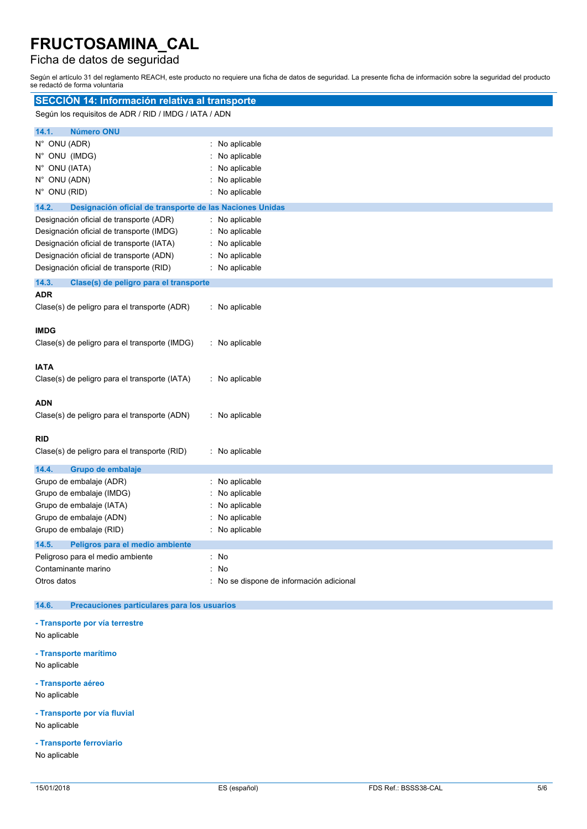## Ficha de datos de seguridad

Según el artículo 31 del reglamento REACH, este producto no requiere una ficha de datos de seguridad. La presente ficha de información sobre la seguridad del producto se redactó de forma voluntaria

| SECCIÓN 14: Información relativa al transporte                                                                                                                                                                        |                                                                                |  |  |
|-----------------------------------------------------------------------------------------------------------------------------------------------------------------------------------------------------------------------|--------------------------------------------------------------------------------|--|--|
| Según los requisitos de ADR / RID / IMDG / IATA / ADN                                                                                                                                                                 |                                                                                |  |  |
| <b>Número ONU</b><br>14.1.<br>N° ONU (ADR)<br>N° ONU (IMDG)<br>N° ONU (IATA)<br>N° ONU (ADN)<br>N° ONU (RID)                                                                                                          | No aplicable<br>No aplicable<br>No aplicable<br>No aplicable<br>No aplicable   |  |  |
| 14.2.<br>Designación oficial de transporte de las Naciones Unidas                                                                                                                                                     |                                                                                |  |  |
| Designación oficial de transporte (ADR)<br>Designación oficial de transporte (IMDG)<br>Designación oficial de transporte (IATA)<br>Designación oficial de transporte (ADN)<br>Designación oficial de transporte (RID) | : No aplicable<br>No aplicable<br>No aplicable<br>No aplicable<br>No aplicable |  |  |
| 14.3.<br>Clase(s) de peligro para el transporte                                                                                                                                                                       |                                                                                |  |  |
| <b>ADR</b><br>Clase(s) de peligro para el transporte (ADR)                                                                                                                                                            | : No aplicable                                                                 |  |  |
| <b>IMDG</b><br>Clase(s) de peligro para el transporte (IMDG)                                                                                                                                                          | : No aplicable                                                                 |  |  |
| <b>IATA</b><br>Clase(s) de peligro para el transporte (IATA)                                                                                                                                                          | : No aplicable                                                                 |  |  |
| <b>ADN</b><br>Clase(s) de peligro para el transporte (ADN)                                                                                                                                                            | : No aplicable                                                                 |  |  |
| <b>RID</b><br>Clase(s) de peligro para el transporte (RID)                                                                                                                                                            | : No aplicable                                                                 |  |  |
| 14.4.<br>Grupo de embalaje                                                                                                                                                                                            |                                                                                |  |  |
| Grupo de embalaje (ADR)<br>Grupo de embalaje (IMDG)<br>Grupo de embalaje (IATA)<br>Grupo de embalaje (ADN)<br>Grupo de embalaje (RID)                                                                                 | No aplicable<br>No aplicable<br>No aplicable<br>No aplicable<br>No aplicable   |  |  |
| 14.5.<br>Peligros para el medio ambiente                                                                                                                                                                              |                                                                                |  |  |
| Peligroso para el medio ambiente<br>Contaminante marino<br>Otros datos                                                                                                                                                | : No<br>: No<br>: No se dispone de información adicional                       |  |  |
| Precauciones particulares para los usuarios<br>14.6.                                                                                                                                                                  |                                                                                |  |  |
| - Transporte por vía terrestre<br>No aplicable                                                                                                                                                                        |                                                                                |  |  |

**- Transporte marítimo** No aplicable

**- Transporte aéreo**

No aplicable

**- Transporte por vía fluvial** No aplicable

**- Transporte ferroviario** No aplicable